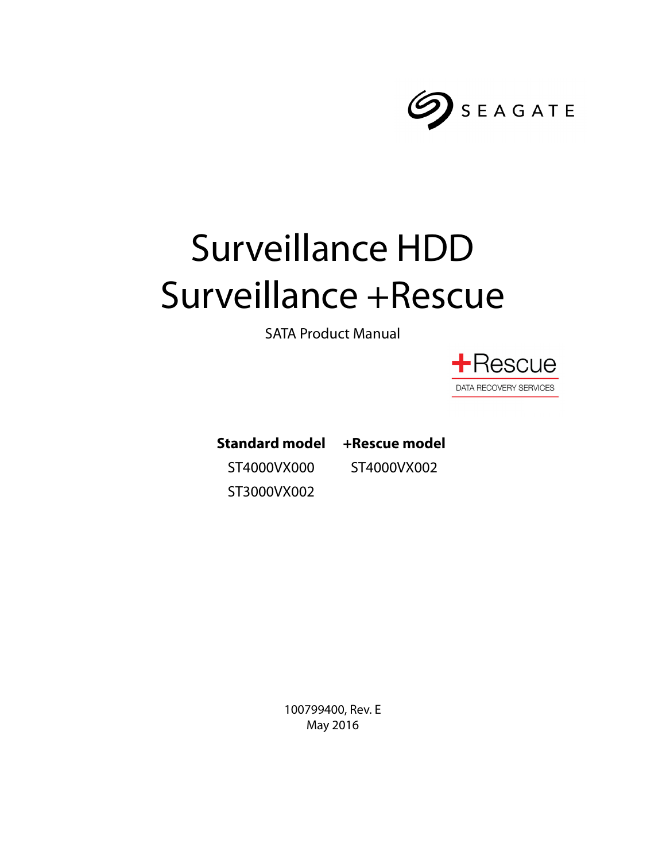

# Surveillance HDD Surveillance +Rescue

SATA Product Manual



**Standard model** ST4000VX000 ST3000VX002

**+Rescue model** ST4000VX002

100799400, Rev. E May 2016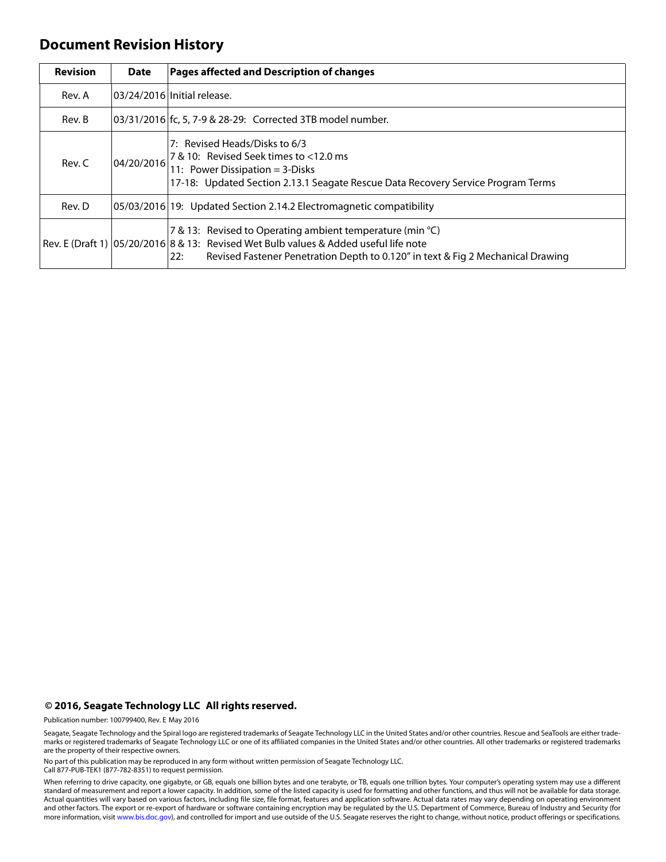## **Document Revision History**

| <b>Revision</b> | <b>Date</b> | Pages affected and Description of changes                                                                                                                                                                                                       |
|-----------------|-------------|-------------------------------------------------------------------------------------------------------------------------------------------------------------------------------------------------------------------------------------------------|
| Rev. A          |             | 03/24/2016 Initial release.                                                                                                                                                                                                                     |
| Rev. B          |             | 03/31/2016 fc, 5, 7-9 & 28-29: Corrected 3TB model number.                                                                                                                                                                                      |
| Rev. C          | 04/20/2016  | 7: Revised Heads/Disks to 6/3<br>7 & 10: Revised Seek times to <12.0 ms<br>11: Power Dissipation = 3-Disks<br>17-18: Updated Section 2.13.1 Seagate Rescue Data Recovery Service Program Terms                                                  |
| Rev. D          |             | 05/03/2016 19: Updated Section 2.14.2 Electromagnetic compatibility                                                                                                                                                                             |
|                 |             | 7 & 13: Revised to Operating ambient temperature (min °C)<br>Rev. E (Draft 1)   05/20/2016   8 & 13: Revised Wet Bulb values & Added useful life note<br>Revised Fastener Penetration Depth to 0.120" in text & Fig 2 Mechanical Drawing<br>22: |

#### **© 2016, Seagate Technology LLC All rights reserved.**

Publication number: 100799400, Rev. E May 2016

Seagate, Seagate Technology and the Spiral logo are registered trademarks of Seagate Technology LLC in the United States and/or other countries. Rescue and SeaTools are either trademarks or registered trademarks of Seagate Technology LLC or one of its affiliated companies in the United States and/or other countries. All other trademarks or registered trademarks are the property of their respective owners.

No part of this publication may be reproduced in any form without written permission of Seagate Technology LLC. Call 877-PUB-TEK1 (877-782-8351) to request permission.

When referring to drive capacity, one gigabyte, or GB, equals one billion bytes and one terabyte, or TB, equals one trillion bytes. Your computer's operating system may use a different standard of measurement and report a lower capacity. In addition, some of the listed capacity is used for formatting and other functions, and thus will not be available for data storage. Actual quantities will vary based on various factors, including file size, file format, features and application software. Actual data rates may vary depending on operating environment<br>and other factors. The export or re-e more information, visit [www.bis.doc.gov\)](http://www.bis.doc.gov), and controlled for import and use outside of the U.S. Seagate reserves the right to change, without notice, product offerings or specifications.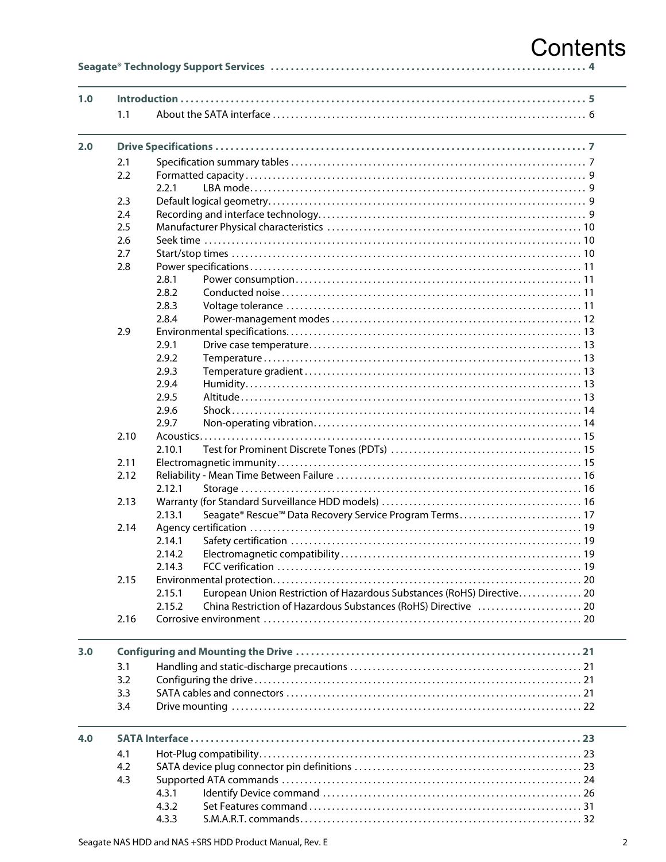## Contents

|--|--|--|

| 1.0 |      |                                                                                  |
|-----|------|----------------------------------------------------------------------------------|
|     | 1.1  |                                                                                  |
| 2.0 |      |                                                                                  |
|     | 2.1  |                                                                                  |
|     | 2.2  |                                                                                  |
|     |      | 2.2.1                                                                            |
|     | 2.3  |                                                                                  |
|     | 2.4  |                                                                                  |
|     | 2.5  |                                                                                  |
|     | 2.6  |                                                                                  |
|     | 2.7  |                                                                                  |
|     | 2.8  |                                                                                  |
|     |      | 2.8.1                                                                            |
|     |      | 2.8.2                                                                            |
|     |      | 2.8.3                                                                            |
|     |      | 2.8.4                                                                            |
|     | 2.9  |                                                                                  |
|     |      | 2.9.1                                                                            |
|     |      | 2.9.2                                                                            |
|     |      | 2.9.3                                                                            |
|     |      | 2.9.4                                                                            |
|     |      | 2.9.5                                                                            |
|     |      | 2.9.6                                                                            |
|     |      | 2.9.7                                                                            |
|     | 2.10 |                                                                                  |
|     |      | 2.10.1                                                                           |
|     | 2.11 |                                                                                  |
|     | 2.12 |                                                                                  |
|     |      | 2.12.1                                                                           |
|     | 2.13 |                                                                                  |
|     |      | Seagate® Rescue™ Data Recovery Service Program Terms 17<br>2.13.1                |
|     | 2.14 |                                                                                  |
|     |      | 2.14.1                                                                           |
|     |      | 2.14.2                                                                           |
|     |      | 2.14.3                                                                           |
|     | 2.15 |                                                                                  |
|     |      | European Union Restriction of Hazardous Substances (RoHS) Directive 20<br>2.15.1 |
|     |      | China Restriction of Hazardous Substances (RoHS) Directive  20<br>2.15.2         |
|     | 2.16 |                                                                                  |
| 3.0 |      |                                                                                  |
|     | 3.1  |                                                                                  |
|     | 3.2  |                                                                                  |
|     | 3.3  |                                                                                  |
|     | 3.4  |                                                                                  |
| 4.0 |      |                                                                                  |
|     |      |                                                                                  |
|     | 4.1  |                                                                                  |
|     | 4.2  |                                                                                  |
|     | 4.3  |                                                                                  |
|     |      | 4.3.1<br>4.3.2                                                                   |
|     |      |                                                                                  |

 $4.3.3$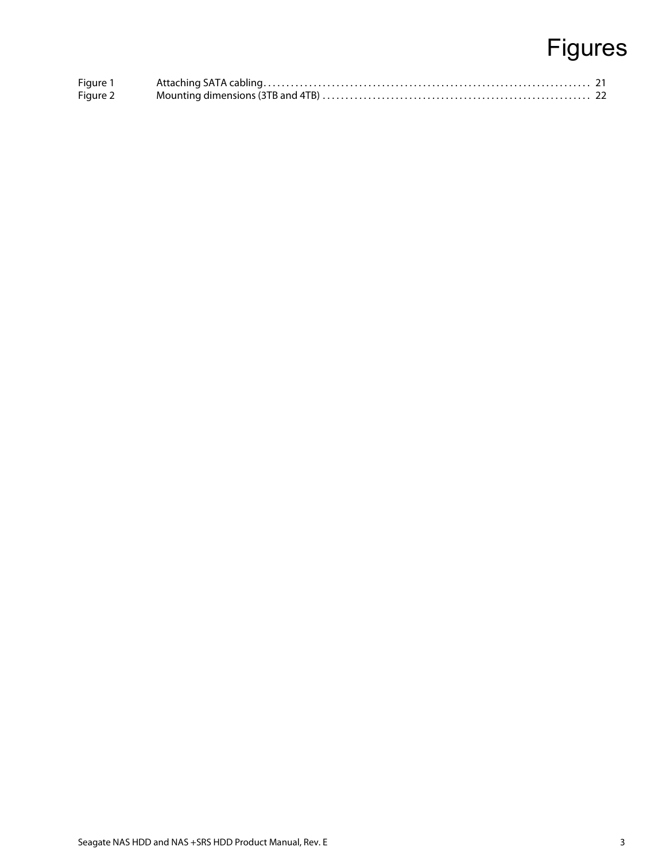## Figures

| Figure 1 |  |
|----------|--|
| Figure 2 |  |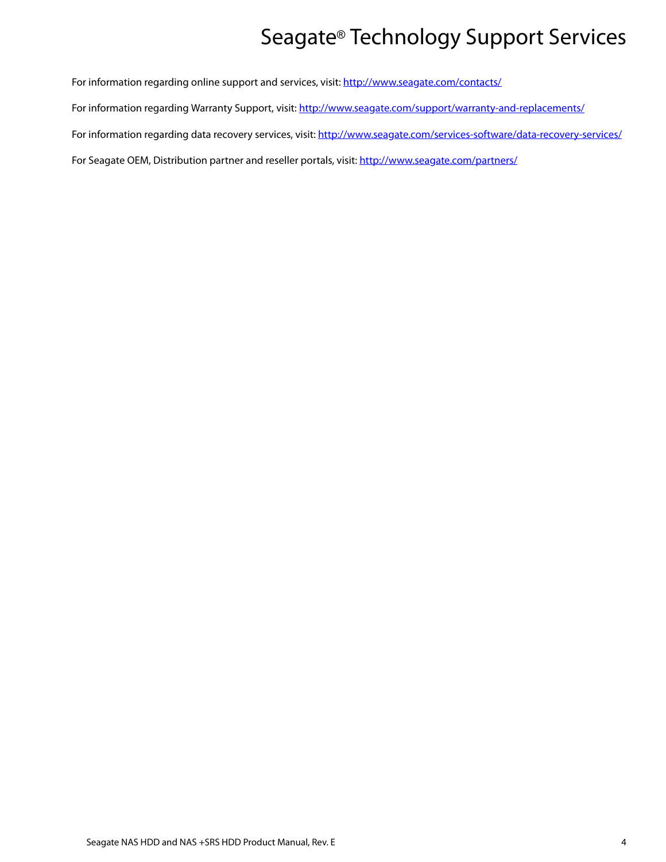## Seagate® Technology Support Services

<span id="page-4-0"></span>For information regarding online support and services, visit: [http://www.sea](http://www.seagate.com/contacts/)gate.com/contacts/ [For information regarding Warranty Support, visit:](http://www.seagate.com/support/warranty-and-replacements/) http://www.seagate.com/support/warranty-and-replacements/ For information regarding data recovery services, visit: [http://www.sea](http://www.seagate.com/services-software/data-recovery-services/)gate.com/services-software/data-recovery-services/ [For Seagate OEM, Distribution partner and reseller portals, visit: h](http://www.seagate.com/partners/)ttp://www.seagate.com/partners/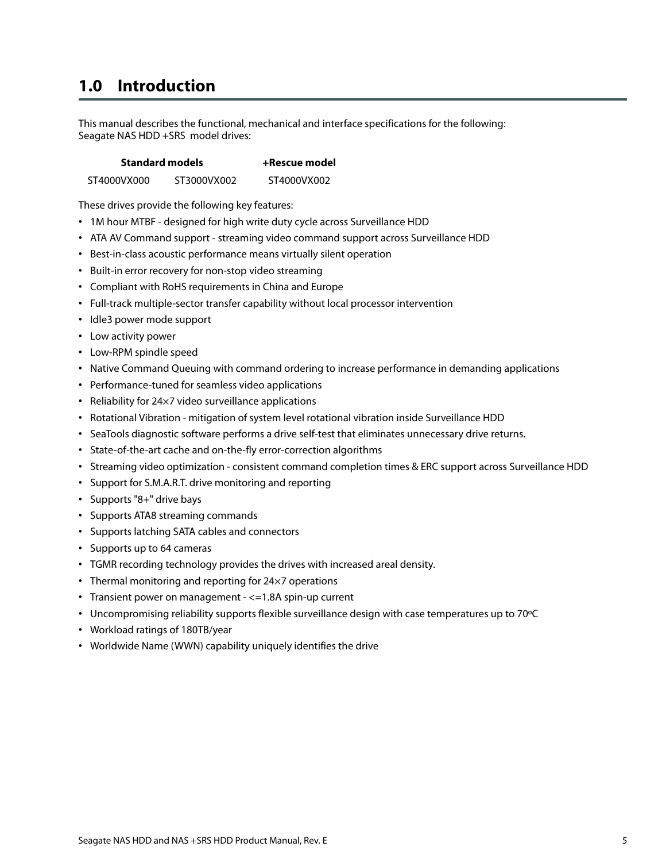## <span id="page-5-0"></span>**1.0 Introduction**

This manual describes the functional, mechanical and interface specifications for the following: Seagate NAS HDD +SRS model drives:

| <b>Standard models</b> | +Rescue model |             |
|------------------------|---------------|-------------|
| ST4000VX000            | ST3000VX002   | ST4000VX002 |

These drives provide the following key features:

- 1M hour MTBF designed for high write duty cycle across Surveillance HDD
- ATA AV Command support streaming video command support across Surveillance HDD
- Best-in-class acoustic performance means virtually silent operation
- Built-in error recovery for non-stop video streaming
- Compliant with RoHS requirements in China and Europe
- Full-track multiple-sector transfer capability without local processor intervention
- Idle3 power mode support
- Low activity power
- Low-RPM spindle speed
- Native Command Queuing with command ordering to increase performance in demanding applications
- Performance-tuned for seamless video applications
- Reliability for 24×7 video surveillance applications
- Rotational Vibration mitigation of system level rotational vibration inside Surveillance HDD
- SeaTools diagnostic software performs a drive self-test that eliminates unnecessary drive returns.
- State-of-the-art cache and on-the-fly error-correction algorithms
- Streaming video optimization consistent command completion times & ERC support across Surveillance HDD
- Support for S.M.A.R.T. drive monitoring and reporting
- Supports "8+" drive bays
- Supports ATA8 streaming commands
- Supports latching SATA cables and connectors
- Supports up to 64 cameras
- TGMR recording technology provides the drives with increased areal density.
- Thermal monitoring and reporting for 24×7 operations
- Transient power on management <=1.8A spin-up current
- Uncompromising reliability supports flexible surveillance design with case temperatures up to 70ºC
- Workload ratings of 180TB/year
- Worldwide Name (WWN) capability uniquely identifies the drive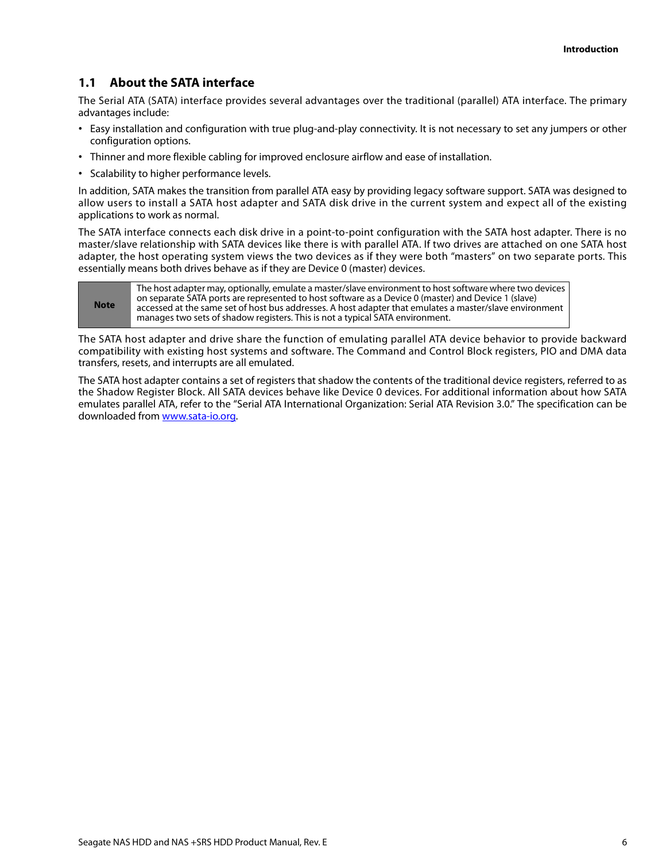## <span id="page-6-0"></span>**1.1 About the SATA interface**

The Serial ATA (SATA) interface provides several advantages over the traditional (parallel) ATA interface. The primary advantages include:

- Easy installation and configuration with true plug-and-play connectivity. It is not necessary to set any jumpers or other configuration options.
- Thinner and more flexible cabling for improved enclosure airflow and ease of installation.
- Scalability to higher performance levels.

In addition, SATA makes the transition from parallel ATA easy by providing legacy software support. SATA was designed to allow users to install a SATA host adapter and SATA disk drive in the current system and expect all of the existing applications to work as normal.

The SATA interface connects each disk drive in a point-to-point configuration with the SATA host adapter. There is no master/slave relationship with SATA devices like there is with parallel ATA. If two drives are attached on one SATA host adapter, the host operating system views the two devices as if they were both "masters" on two separate ports. This essentially means both drives behave as if they are Device 0 (master) devices.

**Note** The host adapter may, optionally, emulate a master/slave environment to host software where two devices on separate SATA ports are represented to host software as a Device 0 (master) and Device 1 (slave) accessed at the same set of host bus addresses. A host adapter that emulates a master/slave environment manages two sets of shadow registers. This is not a typical SATA environment.

The SATA host adapter and drive share the function of emulating parallel ATA device behavior to provide backward compatibility with existing host systems and software. The Command and Control Block registers, PIO and DMA data transfers, resets, and interrupts are all emulated.

[The SATA host adapter contains a set of registers that shadow the contents of the traditional device registers, referred to as](http://www.sata-io.org) the Shadow Register Block. All SATA devices behave like Device 0 devices. For additional information about how SATA emulates parallel ATA, refer to the "Serial ATA International Organization: Serial ATA Revision 3.0." The specification can be [downloaded from](http://www.sata-io.org) www.sata-io.org.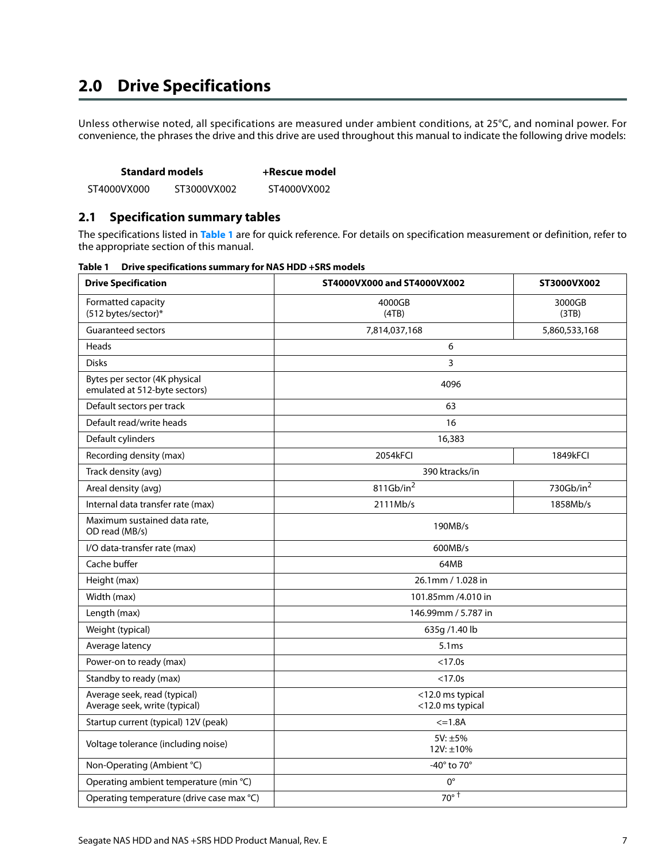## <span id="page-7-0"></span>**2.0 Drive Specifications**

Unless otherwise noted, all specifications are measured under ambient conditions, at 25°C, and nominal power. For convenience, the phrases the drive and this drive are used throughout this manual to indicate the following drive models:

| <b>Standard models</b> | +Rescue model |
|------------------------|---------------|
|------------------------|---------------|

ST4000VX000 ST3000VX002 ST4000VX002

## <span id="page-7-1"></span>**2.1 Specification summary tables**

The specifications listed in **Table 1** are for quick reference. For details on specification measurement or definition, refer to the appropriate section of this manual.

| <b>Drive Specification</b>                                     | ST4000VX000 and ST4000VX002          | ST3000VX002           |  |
|----------------------------------------------------------------|--------------------------------------|-----------------------|--|
| Formatted capacity<br>(512 bytes/sector)*                      | 4000GB<br>(4TB)                      | 3000GB<br>(3TB)       |  |
| <b>Guaranteed sectors</b>                                      | 7,814,037,168                        | 5,860,533,168         |  |
| Heads                                                          | 6                                    |                       |  |
| <b>Disks</b>                                                   | $\overline{3}$                       |                       |  |
| Bytes per sector (4K physical<br>emulated at 512-byte sectors) | 4096                                 |                       |  |
| Default sectors per track                                      | 63                                   |                       |  |
| Default read/write heads                                       | 16                                   |                       |  |
| Default cylinders                                              | 16,383                               |                       |  |
| Recording density (max)                                        | 2054kFCI                             | 1849kFCI              |  |
| Track density (avg)                                            | 390 ktracks/in                       |                       |  |
| Areal density (avg)                                            | 811Gb/in <sup>2</sup>                | 730Gb/in <sup>2</sup> |  |
| Internal data transfer rate (max)                              | 2111Mb/s                             | 1858Mb/s              |  |
| Maximum sustained data rate,<br>OD read (MB/s)                 | 190MB/s                              |                       |  |
| I/O data-transfer rate (max)                                   | 600MB/s                              |                       |  |
| Cache buffer                                                   | 64MB                                 |                       |  |
| Height (max)                                                   | 26.1mm / 1.028 in                    |                       |  |
| Width (max)                                                    | 101.85mm /4.010 in                   |                       |  |
| Length (max)                                                   | 146.99mm / 5.787 in                  |                       |  |
| Weight (typical)                                               | 635g /1.40 lb                        |                       |  |
| Average latency                                                | 5.1ms                                |                       |  |
| Power-on to ready (max)                                        | $<$ 17.0s                            |                       |  |
| Standby to ready (max)                                         | $<$ 17.0s                            |                       |  |
| Average seek, read (typical)<br>Average seek, write (typical)  | <12.0 ms typical<br><12.0 ms typical |                       |  |
| Startup current (typical) 12V (peak)                           | $\leq 1.8A$                          |                       |  |
| Voltage tolerance (including noise)                            | $5V: \pm 5\%$<br>12V: ±10%           |                       |  |
| Non-Operating (Ambient °C)                                     | -40° to 70°                          |                       |  |
| Operating ambient temperature (min °C)                         | $0^{\circ}$                          |                       |  |
| Operating temperature (drive case max °C)                      | $70^\circ$ <sup>T</sup>              |                       |  |

**Table 1 Drive specifications summary for NAS HDD +SRS models**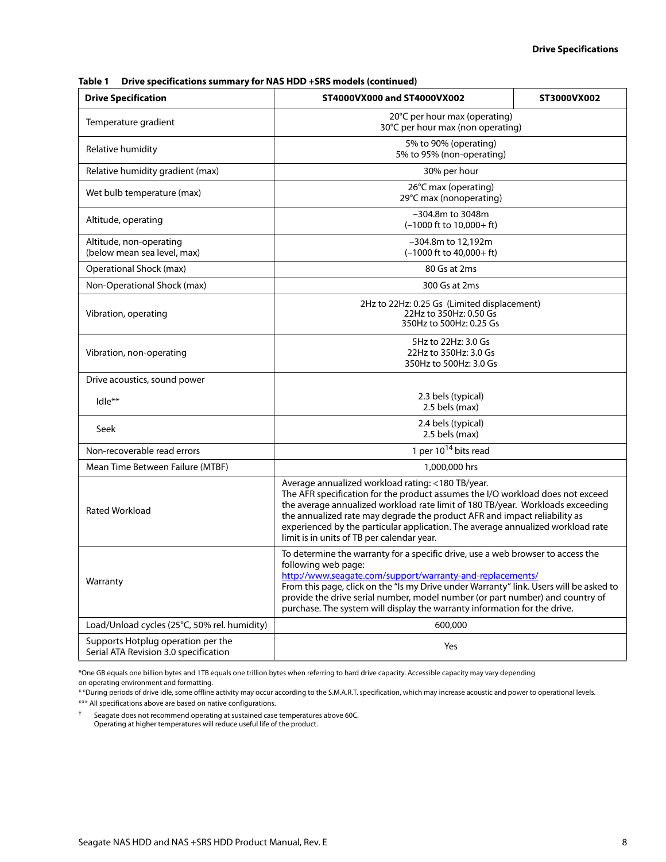| Table 1 |  | Drive specifications summary for NAS HDD +SRS models (continued) |
|---------|--|------------------------------------------------------------------|
|---------|--|------------------------------------------------------------------|

| <b>Drive Specification</b>                                                  | ST4000VX000 and ST4000VX002                                                                                                                                                                                                                                                                                                                                                                                                         | ST3000VX002 |
|-----------------------------------------------------------------------------|-------------------------------------------------------------------------------------------------------------------------------------------------------------------------------------------------------------------------------------------------------------------------------------------------------------------------------------------------------------------------------------------------------------------------------------|-------------|
| Temperature gradient                                                        | 20°C per hour max (operating)<br>30°C per hour max (non operating)                                                                                                                                                                                                                                                                                                                                                                  |             |
| Relative humidity                                                           | 5% to 90% (operating)<br>5% to 95% (non-operating)                                                                                                                                                                                                                                                                                                                                                                                  |             |
| Relative humidity gradient (max)                                            | 30% per hour                                                                                                                                                                                                                                                                                                                                                                                                                        |             |
| Wet bulb temperature (max)                                                  | 26°C max (operating)<br>29°C max (nonoperating)                                                                                                                                                                                                                                                                                                                                                                                     |             |
| Altitude, operating                                                         | -304.8m to 3048m<br>$(-1000$ ft to $10,000+$ ft)                                                                                                                                                                                                                                                                                                                                                                                    |             |
| Altitude, non-operating<br>(below mean sea level, max)                      | -304.8m to 12,192m<br>$(-1000 \text{ ft to } 40,000 + \text{ ft})$                                                                                                                                                                                                                                                                                                                                                                  |             |
| Operational Shock (max)                                                     | 80 Gs at 2ms                                                                                                                                                                                                                                                                                                                                                                                                                        |             |
| Non-Operational Shock (max)                                                 | 300 Gs at 2ms                                                                                                                                                                                                                                                                                                                                                                                                                       |             |
| Vibration, operating                                                        | 2Hz to 22Hz: 0.25 Gs (Limited displacement)<br>22Hz to 350Hz: 0.50 Gs<br>350Hz to 500Hz: 0.25 Gs                                                                                                                                                                                                                                                                                                                                    |             |
| Vibration, non-operating                                                    | 5Hz to 22Hz: 3.0 Gs<br>22Hz to 350Hz: 3.0 Gs<br>350Hz to 500Hz: 3.0 Gs                                                                                                                                                                                                                                                                                                                                                              |             |
| Drive acoustics, sound power                                                |                                                                                                                                                                                                                                                                                                                                                                                                                                     |             |
| $Idle^{\ast\ast}$                                                           | 2.3 bels (typical)<br>2.5 bels (max)                                                                                                                                                                                                                                                                                                                                                                                                |             |
| Seek                                                                        | 2.4 bels (typical)<br>2.5 bels (max)                                                                                                                                                                                                                                                                                                                                                                                                |             |
| Non-recoverable read errors                                                 | 1 per $10^{14}$ bits read                                                                                                                                                                                                                                                                                                                                                                                                           |             |
| Mean Time Between Failure (MTBF)                                            | 1,000,000 hrs                                                                                                                                                                                                                                                                                                                                                                                                                       |             |
| <b>Rated Workload</b>                                                       | Average annualized workload rating: <180 TB/year.<br>The AFR specification for the product assumes the I/O workload does not exceed<br>the average annualized workload rate limit of 180 TB/year. Workloads exceeding<br>the annualized rate may degrade the product AFR and impact reliability as<br>experienced by the particular application. The average annualized workload rate<br>limit is in units of TB per calendar year. |             |
| Warranty                                                                    | To determine the warranty for a specific drive, use a web browser to access the<br>following web page:<br>http://www.seagate.com/support/warranty-and-replacements/<br>From this page, click on the "Is my Drive under Warranty" link. Users will be asked to<br>provide the drive serial number, model number (or part number) and country of<br>purchase. The system will display the warranty information for the drive.         |             |
| Load/Unload cycles (25°C, 50% rel. humidity)                                | 600,000                                                                                                                                                                                                                                                                                                                                                                                                                             |             |
| Supports Hotplug operation per the<br>Serial ATA Revision 3.0 specification | Yes                                                                                                                                                                                                                                                                                                                                                                                                                                 |             |

\*One GB equals one billion bytes and 1TB equals one trillion bytes when referring to hard drive capacity. Accessible capacity may vary depending

on operating environment and formatting.

\*\*During periods of drive idle, some offline activity may occur according to the S.M.A.R.T. specification, which may increase acoustic and power to operational levels. \*\*\* All specifications above are based on native configurations.

† Seagate does not recommend operating at sustained case temperatures above 60C. Operating at higher temperatures will reduce useful life of the product.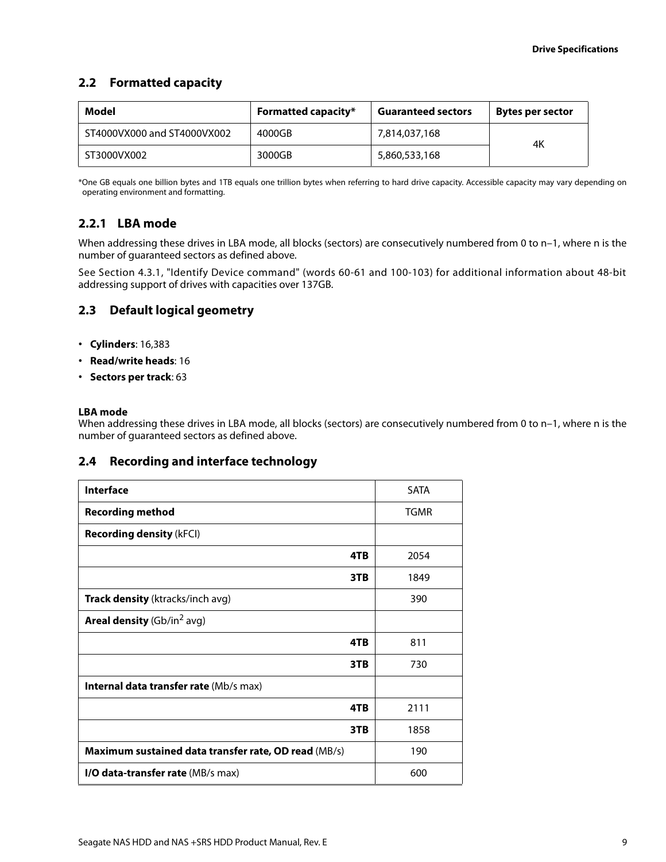## <span id="page-9-0"></span>**2.2 Formatted capacity**

| Model                       | <b>Formatted capacity*</b> | <b>Guaranteed sectors</b> | <b>Bytes per sector</b> |
|-----------------------------|----------------------------|---------------------------|-------------------------|
| ST4000VX000 and ST4000VX002 | 4000GB                     | 7,814,037,168             | 4K                      |
| ST3000VX002                 | 3000GB                     | 5,860,533,168             |                         |

\*One GB equals one billion bytes and 1TB equals one trillion bytes when referring to hard drive capacity. Accessible capacity may vary depending on operating environment and formatting.

## <span id="page-9-1"></span>**2.2.1 LBA mode**

When addressing these drives in LBA mode, all blocks (sectors) are consecutively numbered from 0 to n-1, where n is the number of guaranteed sectors as defined above.

See [Section 4.3.1, "Identify Device command"](#page-26-0) (words 60-61 and 100-103) for additional information about 48-bit addressing support of drives with capacities over 137GB.

## <span id="page-9-2"></span>**2.3 Default logical geometry**

- **Cylinders**: 16,383
- **Read/write heads**: 16
- **Sectors per track**: 63

#### **LBA mode**

When addressing these drives in LBA mode, all blocks (sectors) are consecutively numbered from 0 to n-1, where n is the number of guaranteed sectors as defined above.

## <span id="page-9-3"></span>**2.4 Recording and interface technology**

| <b>Interface</b>                                     | <b>SATA</b> |
|------------------------------------------------------|-------------|
| <b>Recording method</b>                              | <b>TGMR</b> |
| <b>Recording density (kFCI)</b>                      |             |
| 4TB                                                  | 2054        |
| 3TB                                                  | 1849        |
| Track density (ktracks/inch avg)                     | 390         |
| <b>Areal density</b> (Gb/in <sup>2</sup> avg)        |             |
| 4TB                                                  | 811         |
| 3TB                                                  | 730         |
| Internal data transfer rate (Mb/s max)               |             |
| 4TB                                                  | 2111        |
| 3TB                                                  | 1858        |
| Maximum sustained data transfer rate, OD read (MB/s) | 190         |
| I/O data-transfer rate (MB/s max)                    | 600         |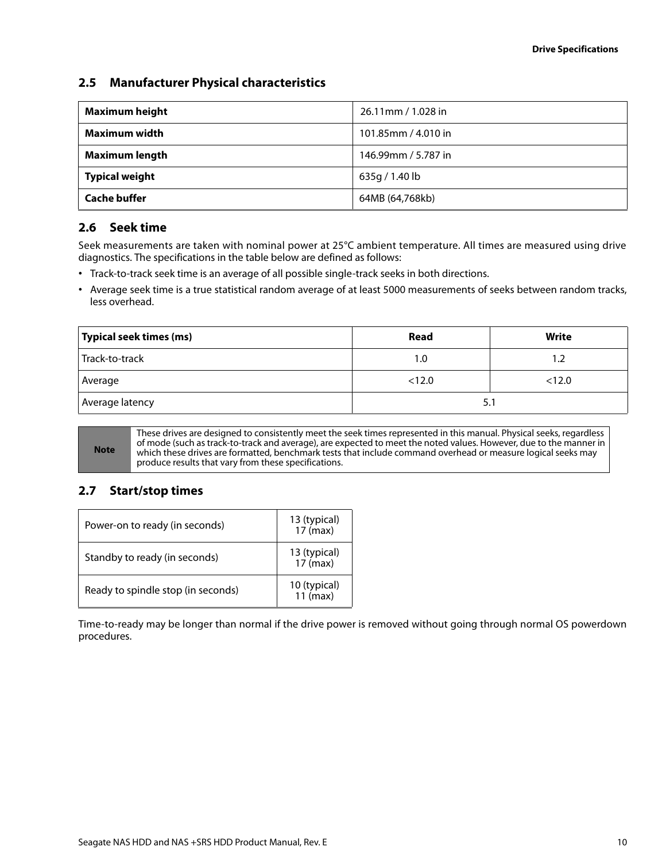## <span id="page-10-0"></span>**2.5 Manufacturer Physical characteristics**

| <b>Maximum height</b> | 26.11mm / 1.028 in  |
|-----------------------|---------------------|
| Maximum width         | 101.85mm / 4.010 in |
| <b>Maximum length</b> | 146.99mm / 5.787 in |
| <b>Typical weight</b> | 635g / 1.40 lb      |
| <b>Cache buffer</b>   | 64MB (64,768kb)     |

## <span id="page-10-1"></span>**2.6 Seek time**

Seek measurements are taken with nominal power at 25°C ambient temperature. All times are measured using drive diagnostics. The specifications in the table below are defined as follows:

- Track-to-track seek time is an average of all possible single-track seeks in both directions.
- Average seek time is a true statistical random average of at least 5000 measurements of seeks between random tracks, less overhead.

| Typical seek times (ms) | Read   | Write  |
|-------------------------|--------|--------|
| Track-to-track          | 1.0    | 1.2    |
| Average                 | < 12.0 | < 12.0 |
| Average latency         | 5.1    |        |

**Note**

These drives are designed to consistently meet the seek times represented in this manual. Physical seeks, regardless of mode (such as track-to-track and average), are expected to meet the noted values. However, due to the manner in which these drives are formatted, benchmark tests that include command overhead or measure logical seeks may produce results that vary from these specifications.

## <span id="page-10-2"></span>**2.7 Start/stop times**

| Power-on to ready (in seconds)     | 13 (typical)<br>$17$ (max)         |
|------------------------------------|------------------------------------|
| Standby to ready (in seconds)      | 13 (typical)<br>$17 \text{ (max)}$ |
| Ready to spindle stop (in seconds) | 10 (typical)<br>$11$ (max)         |

Time-to-ready may be longer than normal if the drive power is removed without going through normal OS powerdown procedures.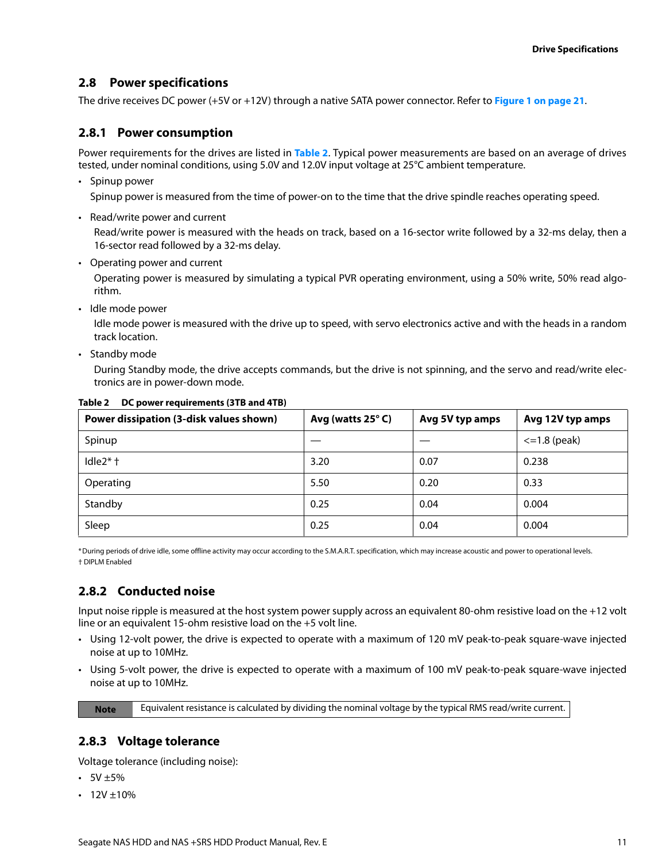## <span id="page-11-0"></span>**2.8 Power specifications**

The drive receives DC power (+5V or +12V) through a native SATA power connector. Refer to **[Figure 1 on page 21](#page-21-4)**.

## <span id="page-11-1"></span>**2.8.1 Power consumption**

Power requirements for the drives are listed in **[Table 2](#page-11-4)**. Typical power measurements are based on an average of drives tested, under nominal conditions, using 5.0V and 12.0V input voltage at 25°C ambient temperature.

• Spinup power

Spinup power is measured from the time of power-on to the time that the drive spindle reaches operating speed.

• Read/write power and current

Read/write power is measured with the heads on track, based on a 16-sector write followed by a 32-ms delay, then a 16-sector read followed by a 32-ms delay.

• Operating power and current

Operating power is measured by simulating a typical PVR operating environment, using a 50% write, 50% read algorithm.

• Idle mode power

Idle mode power is measured with the drive up to speed, with servo electronics active and with the heads in a random track location.

• Standby mode

During Standby mode, the drive accepts commands, but the drive is not spinning, and the servo and read/write electronics are in power-down mode.

| Power dissipation (3-disk values shown) | Avg (watts 25°C) | Avg 5V typ amps | Avg 12V typ amps  |
|-----------------------------------------|------------------|-----------------|-------------------|
| Spinup                                  |                  |                 | $\leq$ 1.8 (peak) |
| Idle $2$ <sup>*</sup> $\dagger$         | 3.20             | 0.07            | 0.238             |
| Operating                               | 5.50             | 0.20            | 0.33              |
| Standby                                 | 0.25             | 0.04            | 0.004             |
| Sleep                                   | 0.25             | 0.04            | 0.004             |

<span id="page-11-4"></span>**Table 2 DC power requirements (3TB and 4TB)**

\*During periods of drive idle, some offline activity may occur according to the S.M.A.R.T. specification, which may increase acoustic and power to operational levels. † DIPLM Enabled

## <span id="page-11-2"></span>**2.8.2 Conducted noise**

Input noise ripple is measured at the host system power supply across an equivalent 80-ohm resistive load on the +12 volt line or an equivalent 15-ohm resistive load on the +5 volt line.

- Using 12-volt power, the drive is expected to operate with a maximum of 120 mV peak-to-peak square-wave injected noise at up to 10MHz.
- Using 5-volt power, the drive is expected to operate with a maximum of 100 mV peak-to-peak square-wave injected noise at up to 10MHz.

**Note** Equivalent resistance is calculated by dividing the nominal voltage by the typical RMS read/write current.

## <span id="page-11-3"></span>**2.8.3 Voltage tolerance**

Voltage tolerance (including noise):

- $\cdot$  5V  $\pm$ 5%
- $12V \pm 10\%$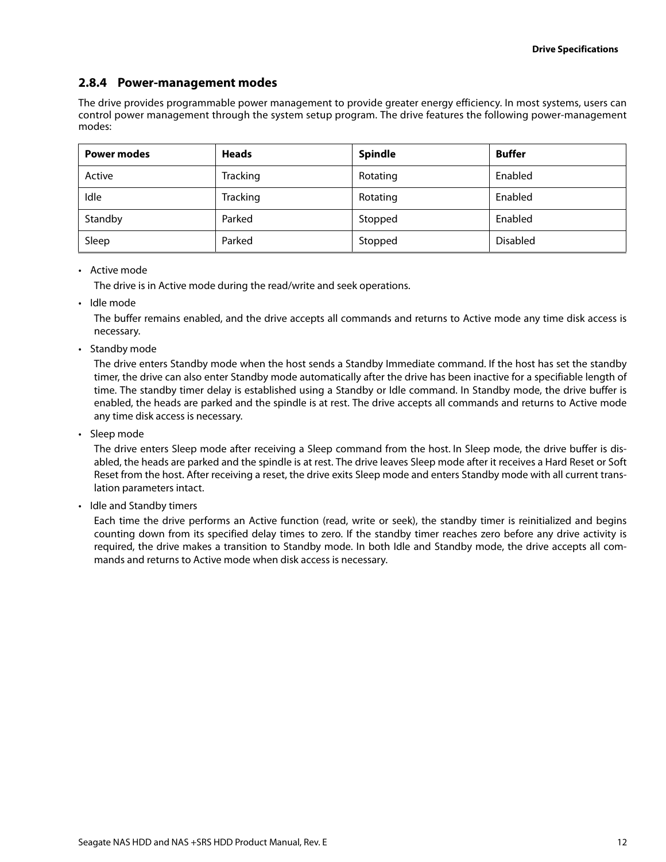## <span id="page-12-0"></span>**2.8.4 Power-management modes**

The drive provides programmable power management to provide greater energy efficiency. In most systems, users can control power management through the system setup program. The drive features the following power-management modes:

| <b>Power modes</b> | <b>Heads</b> | <b>Spindle</b> | <b>Buffer</b>   |
|--------------------|--------------|----------------|-----------------|
| Active             | Tracking     | Rotating       | Enabled         |
| Idle               | Tracking     | Rotating       | Enabled         |
| Standby            | Parked       | Stopped        | Enabled         |
| Sleep              | Parked       | Stopped        | <b>Disabled</b> |

#### • Active mode

The drive is in Active mode during the read/write and seek operations.

• Idle mode

The buffer remains enabled, and the drive accepts all commands and returns to Active mode any time disk access is necessary.

• Standby mode

The drive enters Standby mode when the host sends a Standby Immediate command. If the host has set the standby timer, the drive can also enter Standby mode automatically after the drive has been inactive for a specifiable length of time. The standby timer delay is established using a Standby or Idle command. In Standby mode, the drive buffer is enabled, the heads are parked and the spindle is at rest. The drive accepts all commands and returns to Active mode any time disk access is necessary.

• Sleep mode

The drive enters Sleep mode after receiving a Sleep command from the host. In Sleep mode, the drive buffer is disabled, the heads are parked and the spindle is at rest. The drive leaves Sleep mode after it receives a Hard Reset or Soft Reset from the host. After receiving a reset, the drive exits Sleep mode and enters Standby mode with all current translation parameters intact.

• Idle and Standby timers

Each time the drive performs an Active function (read, write or seek), the standby timer is reinitialized and begins counting down from its specified delay times to zero. If the standby timer reaches zero before any drive activity is required, the drive makes a transition to Standby mode. In both Idle and Standby mode, the drive accepts all commands and returns to Active mode when disk access is necessary.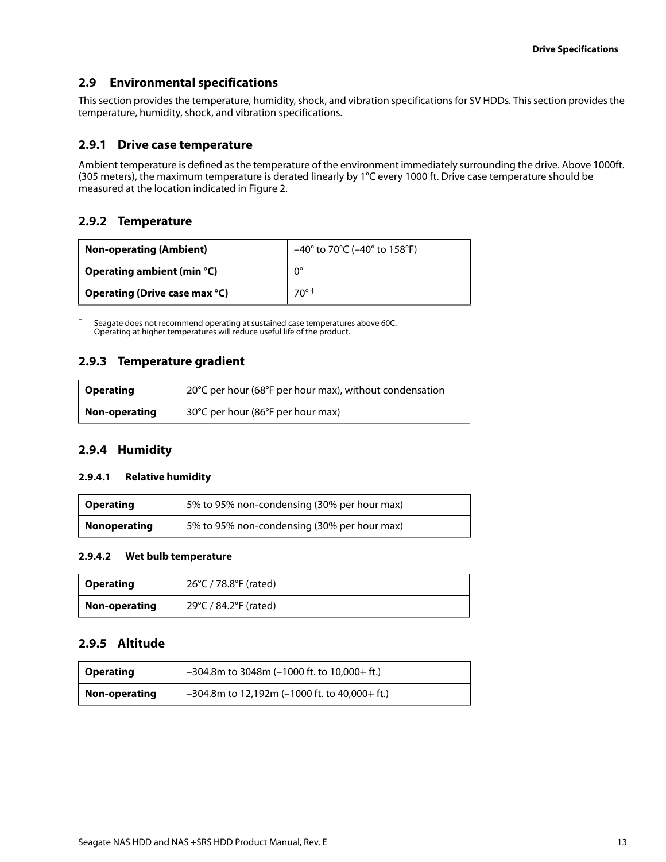## <span id="page-13-0"></span>**2.9 Environmental specifications**

This section provides the temperature, humidity, shock, and vibration specifications for SV HDDs. This section provides the temperature, humidity, shock, and vibration specifications.

### <span id="page-13-1"></span>**2.9.1 Drive case temperature**

Ambient temperature is defined as the temperature of the environment immediately surrounding the drive. Above 1000ft. (305 meters), the maximum temperature is derated linearly by 1°C every 1000 ft. Drive case temperature should be measured at the location indicated in [Figure 2](#page-22-1).

## <span id="page-13-2"></span>**2.9.2 Temperature**

| <b>Non-operating (Ambient)</b> | $-40^{\circ}$ to 70 $^{\circ}$ C ( $-40^{\circ}$ to 158 $^{\circ}$ F) |
|--------------------------------|-----------------------------------------------------------------------|
| Operating ambient (min $°C$ )  | $0^{\circ}$                                                           |
| Operating (Drive case max °C)  | $70^\circ$ t                                                          |

† Seagate does not recommend operating at sustained case temperatures above 60C. Operating at higher temperatures will reduce useful life of the product.

## <span id="page-13-3"></span>**2.9.3 Temperature gradient**

| <b>Operating</b> | 20°C per hour (68°F per hour max), without condensation |
|------------------|---------------------------------------------------------|
| Non-operating    | 30°C per hour (86°F per hour max)                       |

### <span id="page-13-4"></span>**2.9.4 Humidity**

#### **2.9.4.1 Relative humidity**

| <b>Operating</b>    | 5% to 95% non-condensing (30% per hour max) |
|---------------------|---------------------------------------------|
| <b>Nonoperating</b> | 5% to 95% non-condensing (30% per hour max) |

#### **2.9.4.2 Wet bulb temperature**

| <b>Operating</b> | 26°C / 78.8°F (rated) |
|------------------|-----------------------|
| Non-operating    | 29°C / 84.2°F (rated) |

## <span id="page-13-5"></span>**2.9.5 Altitude**

| <b>Operating</b> | $-304.8$ m to 3048m (-1000 ft. to 10,000+ ft.)   |
|------------------|--------------------------------------------------|
| Non-operating    | $-304.8$ m to 12,192m (-1000 ft. to 40,000+ ft.) |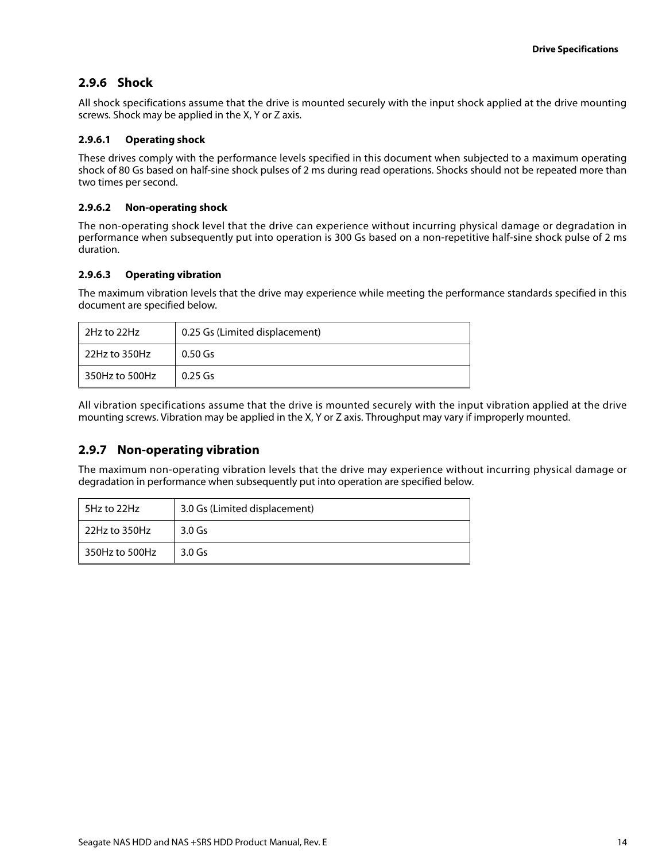## <span id="page-14-0"></span>**2.9.6 Shock**

All shock specifications assume that the drive is mounted securely with the input shock applied at the drive mounting screws. Shock may be applied in the X, Y or Z axis.

### **2.9.6.1 Operating shock**

These drives comply with the performance levels specified in this document when subjected to a maximum operating shock of 80 Gs based on half-sine shock pulses of 2 ms during read operations. Shocks should not be repeated more than two times per second.

#### **2.9.6.2 Non-operating shock**

The non-operating shock level that the drive can experience without incurring physical damage or degradation in performance when subsequently put into operation is 300 Gs based on a non-repetitive half-sine shock pulse of 2 ms duration.

#### **2.9.6.3 Operating vibration**

The maximum vibration levels that the drive may experience while meeting the performance standards specified in this document are specified below.

| 2Hz to 22Hz    | 0.25 Gs (Limited displacement) |
|----------------|--------------------------------|
| 22Hz to 350Hz  | $0.50$ Gs                      |
| 350Hz to 500Hz | $0.25$ Gs                      |

All vibration specifications assume that the drive is mounted securely with the input vibration applied at the drive mounting screws. Vibration may be applied in the X, Y or Z axis. Throughput may vary if improperly mounted.

## <span id="page-14-1"></span>**2.9.7 Non-operating vibration**

The maximum non-operating vibration levels that the drive may experience without incurring physical damage or degradation in performance when subsequently put into operation are specified below.

| 5Hz to 22Hz    | 3.0 Gs (Limited displacement) |
|----------------|-------------------------------|
| 22Hz to 350Hz  | $3.0$ Gs                      |
| 350Hz to 500Hz | $3.0$ Gs                      |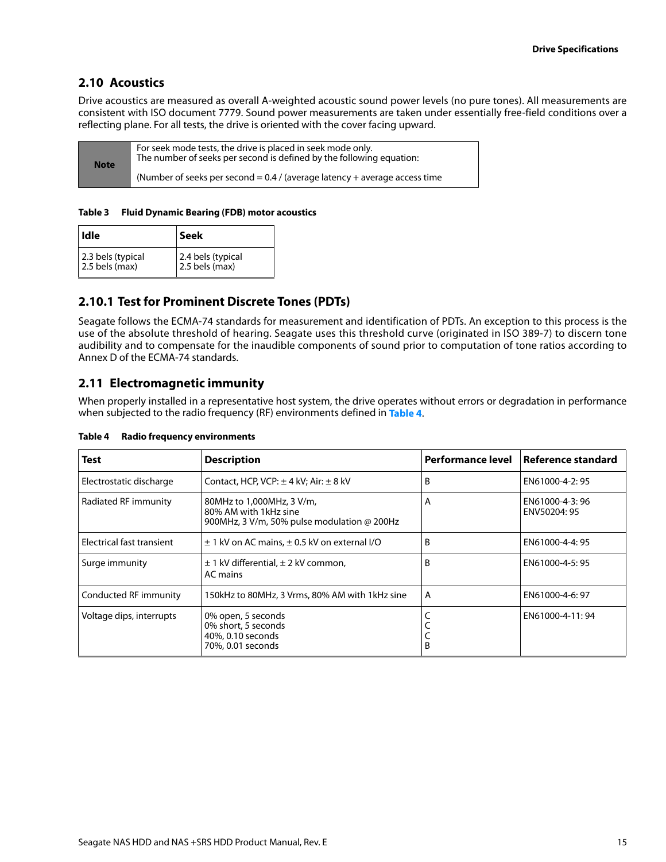## <span id="page-15-0"></span>**2.10 Acoustics**

Drive acoustics are measured as overall A-weighted acoustic sound power levels (no pure tones). All measurements are consistent with ISO document 7779. Sound power measurements are taken under essentially free-field conditions over a reflecting plane. For all tests, the drive is oriented with the cover facing upward.

| <b>Note</b> | For seek mode tests, the drive is placed in seek mode only.<br>The number of seeks per second is defined by the following equation: |
|-------------|-------------------------------------------------------------------------------------------------------------------------------------|
|             | (Number of seeks per second = $0.4$ / (average latency + average access time                                                        |

#### **Table 3 Fluid Dynamic Bearing (FDB) motor acoustics**

| <b>I</b> dle                        | Seek                                |
|-------------------------------------|-------------------------------------|
| 2.3 bels (typical<br>2.5 bels (max) | 2.4 bels (typical<br>2.5 bels (max) |

## <span id="page-15-1"></span>**2.10.1 Test for Prominent Discrete Tones (PDTs)**

Seagate follows the ECMA-74 standards for measurement and identification of PDTs. An exception to this process is the use of the absolute threshold of hearing. Seagate uses this threshold curve (originated in ISO 389-7) to discern tone audibility and to compensate for the inaudible components of sound prior to computation of tone ratios according to Annex D of the ECMA-74 standards.

## <span id="page-15-2"></span>**2.11 Electromagnetic immunity**

When properly installed in a representative host system, the drive operates without errors or degradation in performance when subjected to the radio frequency (RF) environments defined in **[Table 4](#page-15-3)**.

| <b>Test</b>               | <b>Description</b>                                                                                | Performance level | l Reference standard           |
|---------------------------|---------------------------------------------------------------------------------------------------|-------------------|--------------------------------|
| Electrostatic discharge   | Contact, HCP, VCP: $\pm$ 4 kV; Air: $\pm$ 8 kV                                                    | B                 | EN61000-4-2:95                 |
| Radiated RF immunity      | 80MHz to 1,000MHz, 3 V/m,<br>80% AM with 1kHz sine<br>900MHz, 3 V/m, 50% pulse modulation @ 200Hz | A                 | EN61000-4-3:96<br>ENV50204: 95 |
| Electrical fast transient | $\pm$ 1 kV on AC mains, $\pm$ 0.5 kV on external I/O                                              | B                 | EN61000-4-4: 95                |
| Surge immunity            | $\pm$ 1 kV differential, $\pm$ 2 kV common,<br>AC mains                                           | B                 | EN61000-4-5: 95                |
| Conducted RF immunity     | 150kHz to 80MHz, 3 Vrms, 80% AM with 1kHz sine                                                    | A                 | EN61000-4-6: 97                |
| Voltage dips, interrupts  | 0% open, 5 seconds<br>0% short, 5 seconds<br>40%, 0.10 seconds<br>70%, 0.01 seconds               | B                 | EN61000-4-11:94                |

#### <span id="page-15-3"></span>**Table 4 Radio frequency environments**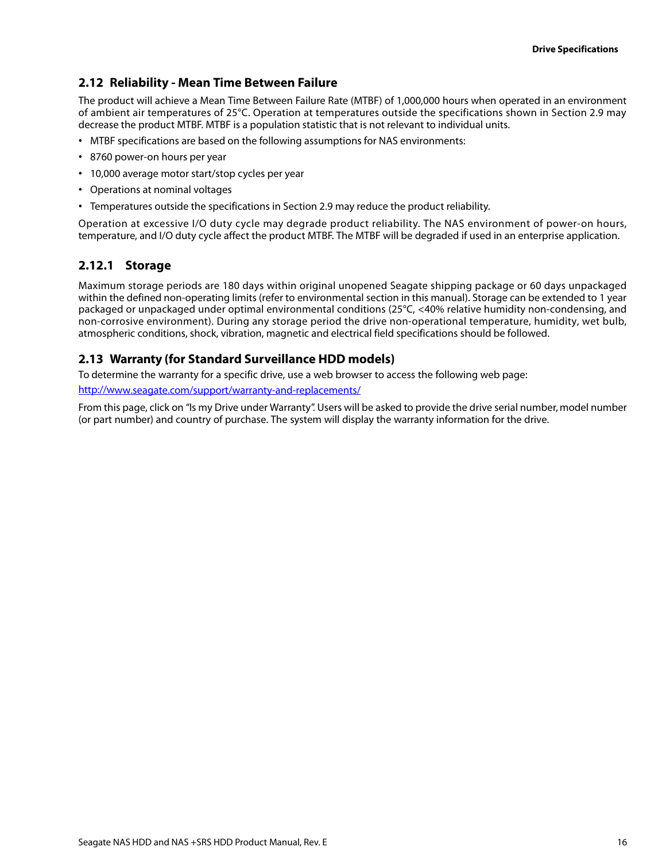## <span id="page-16-0"></span>**2.12 Reliability - Mean Time Between Failure**

The product will achieve a Mean Time Between Failure Rate (MTBF) of 1,000,000 hours when operated in an environment of ambient air temperatures of 25°C. Operation at temperatures outside the specifications shown in [Section 2.9](#page-13-0) may decrease the product MTBF. MTBF is a population statistic that is not relevant to individual units.

- MTBF specifications are based on the following assumptions for NAS environments:
- 8760 power-on hours per year
- 10,000 average motor start/stop cycles per year
- Operations at nominal voltages
- Temperatures outside the specifications in [Section 2.9](#page-13-0) may reduce the product reliability.

Operation at excessive I/O duty cycle may degrade product reliability. The NAS environment of power-on hours, temperature, and I/O duty cycle affect the product MTBF. The MTBF will be degraded if used in an enterprise application.

## <span id="page-16-1"></span>**2.12.1 Storage**

Maximum storage periods are 180 days within original unopened Seagate shipping package or 60 days unpackaged within the defined non-operating limits (refer to environmental section in this manual). Storage can be extended to 1 year packaged or unpackaged under optimal environmental conditions (25°C, <40% relative humidity non-condensing, and non-corrosive environment). During any storage period the drive non-operational temperature, humidity, wet bulb, atmospheric conditions, shock, vibration, magnetic and electrical field specifications should be followed.

## <span id="page-16-2"></span>**2.13 Warranty (for Standard Surveillance HDD models)**

To determine the warranty for a specific drive, use a web browser to access the following web page: <http://www.seagate.com/support/warranty-and-replacements/>

From this page, click on "Is my Drive under Warranty". Users will be asked to provide the drive serial number, model number (or part number) and country of purchase. The system will display the warranty information for the drive.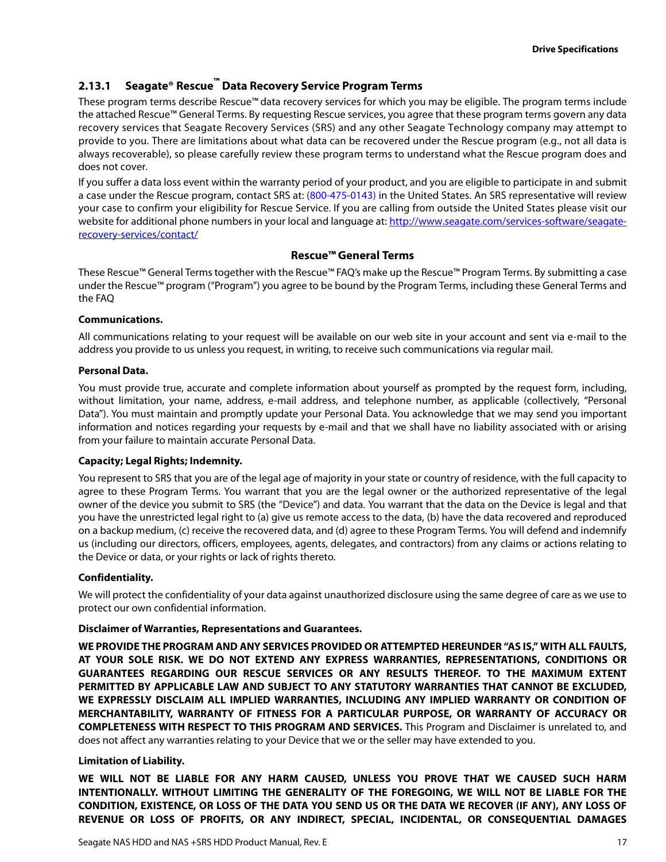## <span id="page-17-0"></span>**2.13.1 Seagate® Rescue™ Data Recovery Service Program Terms**

These program terms describe Rescue™ data recovery services for which you may be eligible. The program terms include the attached Rescue™ General Terms. By requesting Rescue services, you agree that these program terms govern any data recovery services that Seagate Recovery Services (SRS) and any other Seagate Technology company may attempt to provide to you. There are limitations about what data can be recovered under the Rescue program (e.g., not all data is always recoverable), so please carefully review these program terms to understand what the Rescue program does and does not cover.

If you suffer a data loss event within the warranty period of your product, and you are eligible to participate in and submit a case under the Rescue program, contact SRS at: (800-475-0143) in the United States. An SRS representative will review your case to confirm your eligibility for Rescue Service. If you are calling from outside the United States please visit our website for additional phone numbers in your local and language at: http://www.seagate.com/services-software/seagaterecovery-services/contact/

#### **Rescue™ General Terms**

These Rescue™ General Terms together with the Rescue™ FAQ's make up the Rescue™ Program Terms. By submitting a case under the Rescue™ program ("Program") you agree to be bound by the Program Terms, including these General Terms and the FAQ

#### **Communications.**

All communications relating to your request will be available on our web site in your account and sent via e-mail to the address you provide to us unless you request, in writing, to receive such communications via regular mail.

#### **Personal Data.**

You must provide true, accurate and complete information about yourself as prompted by the request form, including, without limitation, your name, address, e-mail address, and telephone number, as applicable (collectively, "Personal Data"). You must maintain and promptly update your Personal Data. You acknowledge that we may send you important information and notices regarding your requests by e-mail and that we shall have no liability associated with or arising from your failure to maintain accurate Personal Data.

#### **Capacity; Legal Rights; Indemnity.**

You represent to SRS that you are of the legal age of majority in your state or country of residence, with the full capacity to agree to these Program Terms. You warrant that you are the legal owner or the authorized representative of the legal owner of the device you submit to SRS (the "Device") and data. You warrant that the data on the Device is legal and that you have the unrestricted legal right to (a) give us remote access to the data, (b) have the data recovered and reproduced on a backup medium, (c) receive the recovered data, and (d) agree to these Program Terms. You will defend and indemnify us (including our directors, officers, employees, agents, delegates, and contractors) from any claims or actions relating to the Device or data, or your rights or lack of rights thereto.

#### **Confidentiality.**

We will protect the confidentiality of your data against unauthorized disclosure using the same degree of care as we use to protect our own confidential information.

#### **Disclaimer of Warranties, Representations and Guarantees.**

**WE PROVIDE THE PROGRAM AND ANY SERVICES PROVIDED OR ATTEMPTED HEREUNDER "AS IS," WITH ALL FAULTS, AT YOUR SOLE RISK. WE DO NOT EXTEND ANY EXPRESS WARRANTIES, REPRESENTATIONS, CONDITIONS OR GUARANTEES REGARDING OUR RESCUE SERVICES OR ANY RESULTS THEREOF. TO THE MAXIMUM EXTENT PERMITTED BY APPLICABLE LAW AND SUBJECT TO ANY STATUTORY WARRANTIES THAT CANNOT BE EXCLUDED, WE EXPRESSLY DISCLAIM ALL IMPLIED WARRANTIES, INCLUDING ANY IMPLIED WARRANTY OR CONDITION OF MERCHANTABILITY, WARRANTY OF FITNESS FOR A PARTICULAR PURPOSE, OR WARRANTY OF ACCURACY OR COMPLETENESS WITH RESPECT TO THIS PROGRAM AND SERVICES.** This Program and Disclaimer is unrelated to, and does not affect any warranties relating to your Device that we or the seller may have extended to you.

#### **Limitation of Liability.**

**WE WILL NOT BE LIABLE FOR ANY HARM CAUSED, UNLESS YOU PROVE THAT WE CAUSED SUCH HARM INTENTIONALLY. WITHOUT LIMITING THE GENERALITY OF THE FOREGOING, WE WILL NOT BE LIABLE FOR THE CONDITION, EXISTENCE, OR LOSS OF THE DATA YOU SEND US OR THE DATA WE RECOVER (IF ANY), ANY LOSS OF REVENUE OR LOSS OF PROFITS, OR ANY INDIRECT, SPECIAL, INCIDENTAL, OR CONSEQUENTIAL DAMAGES**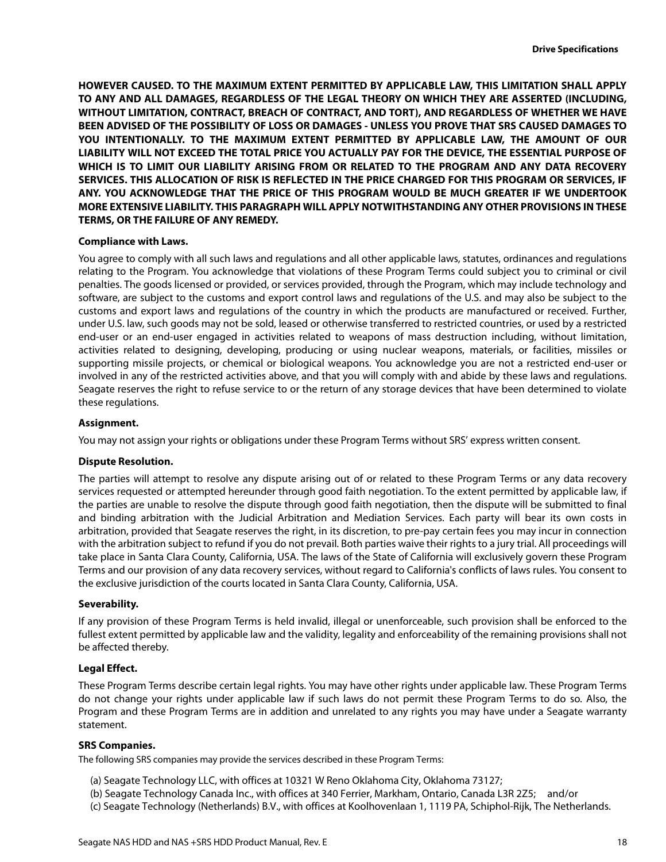**HOWEVER CAUSED. TO THE MAXIMUM EXTENT PERMITTED BY APPLICABLE LAW, THIS LIMITATION SHALL APPLY TO ANY AND ALL DAMAGES, REGARDLESS OF THE LEGAL THEORY ON WHICH THEY ARE ASSERTED (INCLUDING, WITHOUT LIMITATION, CONTRACT, BREACH OF CONTRACT, AND TORT), AND REGARDLESS OF WHETHER WE HAVE BEEN ADVISED OF THE POSSIBILITY OF LOSS OR DAMAGES - UNLESS YOU PROVE THAT SRS CAUSED DAMAGES TO YOU INTENTIONALLY. TO THE MAXIMUM EXTENT PERMITTED BY APPLICABLE LAW, THE AMOUNT OF OUR LIABILITY WILL NOT EXCEED THE TOTAL PRICE YOU ACTUALLY PAY FOR THE DEVICE, THE ESSENTIAL PURPOSE OF WHICH IS TO LIMIT OUR LIABILITY ARISING FROM OR RELATED TO THE PROGRAM AND ANY DATA RECOVERY SERVICES. THIS ALLOCATION OF RISK IS REFLECTED IN THE PRICE CHARGED FOR THIS PROGRAM OR SERVICES, IF ANY. YOU ACKNOWLEDGE THAT THE PRICE OF THIS PROGRAM WOULD BE MUCH GREATER IF WE UNDERTOOK MORE EXTENSIVE LIABILITY. THIS PARAGRAPH WILL APPLY NOTWITHSTANDING ANY OTHER PROVISIONS IN THESE TERMS, OR THE FAILURE OF ANY REMEDY.**

#### **Compliance with Laws.**

You agree to comply with all such laws and regulations and all other applicable laws, statutes, ordinances and regulations relating to the Program. You acknowledge that violations of these Program Terms could subject you to criminal or civil penalties. The goods licensed or provided, or services provided, through the Program, which may include technology and software, are subject to the customs and export control laws and regulations of the U.S. and may also be subject to the customs and export laws and regulations of the country in which the products are manufactured or received. Further, under U.S. law, such goods may not be sold, leased or otherwise transferred to restricted countries, or used by a restricted end-user or an end-user engaged in activities related to weapons of mass destruction including, without limitation, activities related to designing, developing, producing or using nuclear weapons, materials, or facilities, missiles or supporting missile projects, or chemical or biological weapons. You acknowledge you are not a restricted end-user or involved in any of the restricted activities above, and that you will comply with and abide by these laws and regulations. Seagate reserves the right to refuse service to or the return of any storage devices that have been determined to violate these regulations.

#### **Assignment.**

You may not assign your rights or obligations under these Program Terms without SRS' express written consent.

#### **Dispute Resolution.**

The parties will attempt to resolve any dispute arising out of or related to these Program Terms or any data recovery services requested or attempted hereunder through good faith negotiation. To the extent permitted by applicable law, if the parties are unable to resolve the dispute through good faith negotiation, then the dispute will be submitted to final and binding arbitration with the Judicial Arbitration and Mediation Services. Each party will bear its own costs in arbitration, provided that Seagate reserves the right, in its discretion, to pre-pay certain fees you may incur in connection with the arbitration subject to refund if you do not prevail. Both parties waive their rights to a jury trial. All proceedings will take place in Santa Clara County, California, USA. The laws of the State of California will exclusively govern these Program Terms and our provision of any data recovery services, without regard to California's conflicts of laws rules. You consent to the exclusive jurisdiction of the courts located in Santa Clara County, California, USA.

#### **Severability.**

If any provision of these Program Terms is held invalid, illegal or unenforceable, such provision shall be enforced to the fullest extent permitted by applicable law and the validity, legality and enforceability of the remaining provisions shall not be affected thereby.

#### **Legal Effect.**

These Program Terms describe certain legal rights. You may have other rights under applicable law. These Program Terms do not change your rights under applicable law if such laws do not permit these Program Terms to do so. Also, the Program and these Program Terms are in addition and unrelated to any rights you may have under a Seagate warranty statement.

#### **SRS Companies.**

The following SRS companies may provide the services described in these Program Terms:

- (a) Seagate Technology LLC, with offices at 10321 W Reno Oklahoma City, Oklahoma 73127;
- (b) Seagate Technology Canada Inc., with offices at 340 Ferrier, Markham, Ontario, Canada L3R 2Z5; and/or
- (c) Seagate Technology (Netherlands) B.V., with offices at Koolhovenlaan 1, 1119 PA, Schiphol-Rijk, The Netherlands.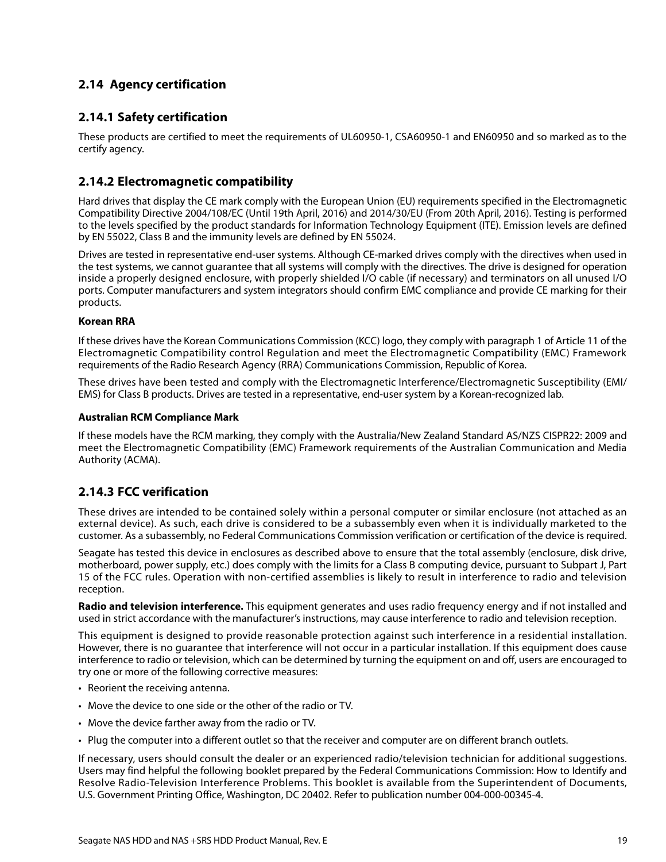## <span id="page-19-0"></span>**2.14 Agency certification**

## <span id="page-19-1"></span>**2.14.1 Safety certification**

These products are certified to meet the requirements of UL60950-1, CSA60950-1 and EN60950 and so marked as to the certify agency.

## <span id="page-19-2"></span>**2.14.2 Electromagnetic compatibility**

Hard drives that display the CE mark comply with the European Union (EU) requirements specified in the Electromagnetic Compatibility Directive 2004/108/EC (Until 19th April, 2016) and 2014/30/EU (From 20th April, 2016). Testing is performed to the levels specified by the product standards for Information Technology Equipment (ITE). Emission levels are defined by EN 55022, Class B and the immunity levels are defined by EN 55024.

Drives are tested in representative end-user systems. Although CE-marked drives comply with the directives when used in the test systems, we cannot guarantee that all systems will comply with the directives. The drive is designed for operation inside a properly designed enclosure, with properly shielded I/O cable (if necessary) and terminators on all unused I/O ports. Computer manufacturers and system integrators should confirm EMC compliance and provide CE marking for their products.

#### **Korean RRA**

If these drives have the Korean Communications Commission (KCC) logo, they comply with paragraph 1 of Article 11 of the Electromagnetic Compatibility control Regulation and meet the Electromagnetic Compatibility (EMC) Framework requirements of the Radio Research Agency (RRA) Communications Commission, Republic of Korea.

These drives have been tested and comply with the Electromagnetic Interference/Electromagnetic Susceptibility (EMI/ EMS) for Class B products. Drives are tested in a representative, end-user system by a Korean-recognized lab.

#### **Australian RCM Compliance Mark**

If these models have the RCM marking, they comply with the Australia/New Zealand Standard AS/NZS CISPR22: 2009 and meet the Electromagnetic Compatibility (EMC) Framework requirements of the Australian Communication and Media Authority (ACMA).

## <span id="page-19-3"></span>**2.14.3 FCC verification**

These drives are intended to be contained solely within a personal computer or similar enclosure (not attached as an external device). As such, each drive is considered to be a subassembly even when it is individually marketed to the customer. As a subassembly, no Federal Communications Commission verification or certification of the device is required.

Seagate has tested this device in enclosures as described above to ensure that the total assembly (enclosure, disk drive, motherboard, power supply, etc.) does comply with the limits for a Class B computing device, pursuant to Subpart J, Part 15 of the FCC rules. Operation with non-certified assemblies is likely to result in interference to radio and television reception.

**Radio and television interference.** This equipment generates and uses radio frequency energy and if not installed and used in strict accordance with the manufacturer's instructions, may cause interference to radio and television reception.

This equipment is designed to provide reasonable protection against such interference in a residential installation. However, there is no guarantee that interference will not occur in a particular installation. If this equipment does cause interference to radio or television, which can be determined by turning the equipment on and off, users are encouraged to try one or more of the following corrective measures:

- Reorient the receiving antenna.
- Move the device to one side or the other of the radio or TV.
- Move the device farther away from the radio or TV.
- Plug the computer into a different outlet so that the receiver and computer are on different branch outlets.

If necessary, users should consult the dealer or an experienced radio/television technician for additional suggestions. Users may find helpful the following booklet prepared by the Federal Communications Commission: How to Identify and Resolve Radio-Television Interference Problems. This booklet is available from the Superintendent of Documents, U.S. Government Printing Office, Washington, DC 20402. Refer to publication number 004-000-00345-4.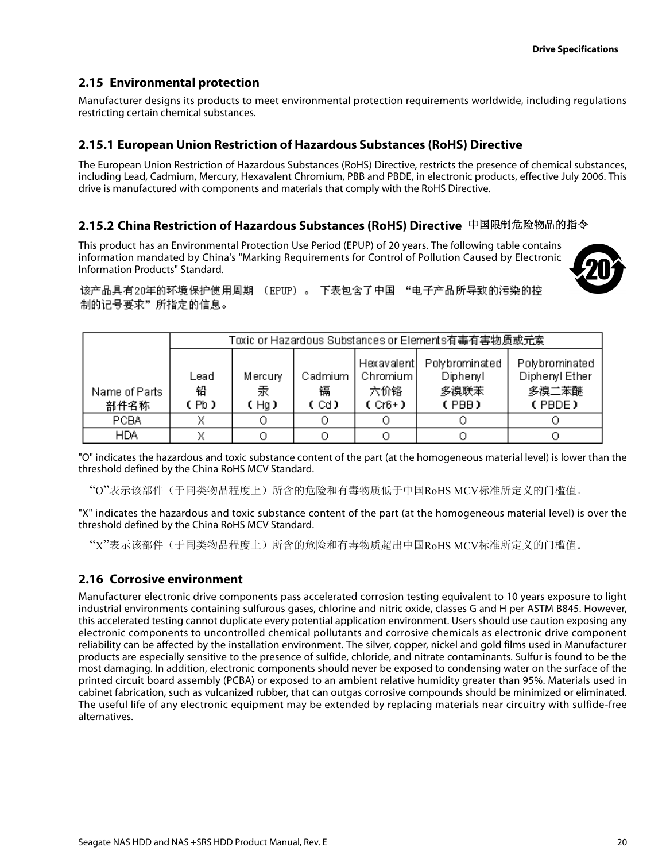## <span id="page-20-0"></span>**2.15 Environmental protection**

Manufacturer designs its products to meet environmental protection requirements worldwide, including regulations restricting certain chemical substances.

## <span id="page-20-1"></span>**2.15.1 European Union Restriction of Hazardous Substances (RoHS) Directive**

The European Union Restriction of Hazardous Substances (RoHS) Directive, restricts the presence of chemical substances, including Lead, Cadmium, Mercury, Hexavalent Chromium, PBB and PBDE, in electronic products, effective July 2006. This drive is manufactured with components and materials that comply with the RoHS Directive.

## <span id="page-20-2"></span>**2.15.2 China Restriction of Hazardous Substances (RoHS) Directive**  中国限制危险物品的指令

This product has an Environmental Protection Use Period (EPUP) of 20 years. The following table contains information mandated by China's "Marking Requirements for Control of Pollution Caused by Electronic Information Products" Standard.



该产品具有20年的环境保护使用周期 (EPUP)。 下表包含了中国 "电子产品所导致的污染的控 制的记号要求"所指定的信息。

|                       | Toxic or Hazardous Substances or Elements有毒有害物质或元素 |                      |                      |                                             |                                             |                                                     |
|-----------------------|----------------------------------------------------|----------------------|----------------------|---------------------------------------------|---------------------------------------------|-----------------------------------------------------|
| Name of Parts<br>部件名称 | Lead<br>铅<br>(Pb)                                  | Mercury<br>汞<br>(Hg) | Cadmium<br>镉<br>(Cd) | Hexavalent<br>Chromium  <br>六价铬<br>$(Cr6+)$ | Polybrominated<br>Diphenyl<br>多溴联苯<br>(PBB) | Polybrominated<br>Diphenyl Ether<br>多溴二苯醚<br>(PBDE) |
| <b>PCBA</b>           |                                                    |                      |                      |                                             |                                             |                                                     |
| <b>HDA</b>            |                                                    |                      |                      |                                             |                                             |                                                     |

"O" indicates the hazardous and toxic substance content of the part (at the homogeneous material level) is lower than the threshold defined by the China RoHS MCV Standard.

"O"表示该部件(于同类物品程度上)所含的危险和有毒物质低于中国RoHS MCV标准所定义的门槛值。

"X" indicates the hazardous and toxic substance content of the part (at the homogeneous material level) is over the threshold defined by the China RoHS MCV Standard.

"X"表示该部件(于同类物品程度上)所含的危险和有毒物质超出中国RoHS MCV标准所定义的门槛值。

### <span id="page-20-3"></span>**2.16 Corrosive environment**

Manufacturer electronic drive components pass accelerated corrosion testing equivalent to 10 years exposure to light industrial environments containing sulfurous gases, chlorine and nitric oxide, classes G and H per ASTM B845. However, this accelerated testing cannot duplicate every potential application environment. Users should use caution exposing any electronic components to uncontrolled chemical pollutants and corrosive chemicals as electronic drive component reliability can be affected by the installation environment. The silver, copper, nickel and gold films used in Manufacturer products are especially sensitive to the presence of sulfide, chloride, and nitrate contaminants. Sulfur is found to be the most damaging. In addition, electronic components should never be exposed to condensing water on the surface of the printed circuit board assembly (PCBA) or exposed to an ambient relative humidity greater than 95%. Materials used in cabinet fabrication, such as vulcanized rubber, that can outgas corrosive compounds should be minimized or eliminated. The useful life of any electronic equipment may be extended by replacing materials near circuitry with sulfide-free alternatives.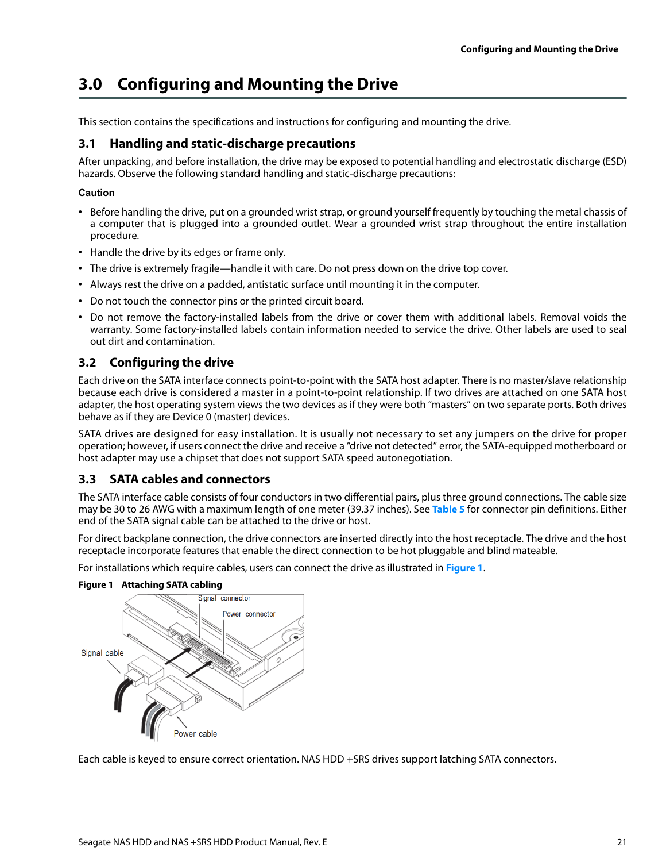## <span id="page-21-0"></span>**3.0 Configuring and Mounting the Drive**

This section contains the specifications and instructions for configuring and mounting the drive.

## <span id="page-21-1"></span>**3.1 Handling and static-discharge precautions**

After unpacking, and before installation, the drive may be exposed to potential handling and electrostatic discharge (ESD) hazards. Observe the following standard handling and static-discharge precautions:

### **Caution**

- Before handling the drive, put on a grounded wrist strap, or ground yourself frequently by touching the metal chassis of a computer that is plugged into a grounded outlet. Wear a grounded wrist strap throughout the entire installation procedure.
- Handle the drive by its edges or frame only.
- The drive is extremely fragile—handle it with care. Do not press down on the drive top cover.
- Always rest the drive on a padded, antistatic surface until mounting it in the computer.
- Do not touch the connector pins or the printed circuit board.
- Do not remove the factory-installed labels from the drive or cover them with additional labels. Removal voids the warranty. Some factory-installed labels contain information needed to service the drive. Other labels are used to seal out dirt and contamination.

## <span id="page-21-2"></span>**3.2 Configuring the drive**

Each drive on the SATA interface connects point-to-point with the SATA host adapter. There is no master/slave relationship because each drive is considered a master in a point-to-point relationship. If two drives are attached on one SATA host adapter, the host operating system views the two devices as if they were both "masters" on two separate ports. Both drives behave as if they are Device 0 (master) devices.

SATA drives are designed for easy installation. It is usually not necessary to set any jumpers on the drive for proper operation; however, if users connect the drive and receive a "drive not detected" error, the SATA-equipped motherboard or host adapter may use a chipset that does not support SATA speed autonegotiation.

## <span id="page-21-3"></span>**3.3 SATA cables and connectors**

The SATA interface cable consists of four conductors in two differential pairs, plus three ground connections. The cable size may be 30 to 26 AWG with a maximum length of one meter (39.37 inches). See **[Table 5](#page-23-3)** for connector pin definitions. Either end of the SATA signal cable can be attached to the drive or host.

For direct backplane connection, the drive connectors are inserted directly into the host receptacle. The drive and the host receptacle incorporate features that enable the direct connection to be hot pluggable and blind mateable.

For installations which require cables, users can connect the drive as illustrated in **[Figure 1](#page-21-4)**.



<span id="page-21-4"></span>**Figure 1 Attaching SATA cabling**

Each cable is keyed to ensure correct orientation. NAS HDD +SRS drives support latching SATA connectors.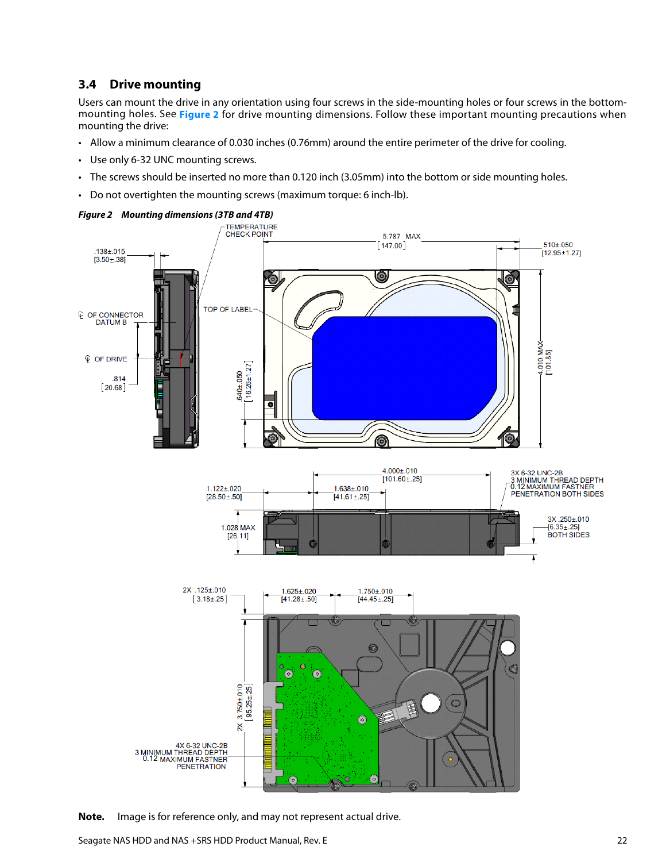## <span id="page-22-0"></span>**3.4 Drive mounting**

Users can mount the drive in any orientation using four screws in the side-mounting holes or four screws in the bottommounting holes. See **[Figure 2](#page-22-1)** for drive mounting dimensions. Follow these important mounting precautions when mounting the drive:

- Allow a minimum clearance of 0.030 inches (0.76mm) around the entire perimeter of the drive for cooling.
- Use only 6-32 UNC mounting screws.
- The screws should be inserted no more than 0.120 inch (3.05mm) into the bottom or side mounting holes.
- Do not overtighten the mounting screws (maximum torque: 6 inch-lb).

<span id="page-22-1"></span>

**Note.** Image is for reference only, and may not represent actual drive.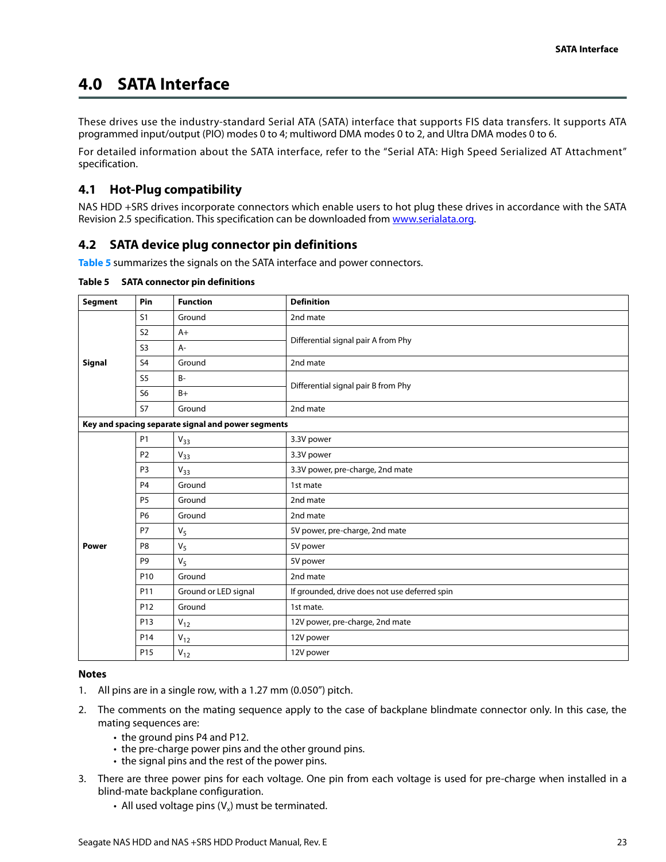## <span id="page-23-0"></span>**4.0 SATA Interface**

These drives use the industry-standard Serial ATA (SATA) interface that supports FIS data transfers. It supports ATA programmed input/output (PIO) modes 0 to 4; multiword DMA modes 0 to 2, and Ultra DMA modes 0 to 6.

For detailed information about the SATA interface, refer to the "Serial ATA: High Speed Serialized AT Attachment" specification.

## <span id="page-23-1"></span>**4.1 Hot-Plug compatibility**

[NAS HDD +SRS drives incorporate connectors which enable users to hot plug these drives in accordance with the SATA](http://www.serialata.org) [Revision 2.5 specification. This specification can be downloaded from w](http://www.serialata.org)ww.serialata.org.

## <span id="page-23-2"></span>**4.2 SATA device plug connector pin definitions**

**[Table 5](#page-23-3)** summarizes the signals on the SATA interface and power connectors.

| Segment      | Pin             | <b>Function</b>                                    | <b>Definition</b>                             |
|--------------|-----------------|----------------------------------------------------|-----------------------------------------------|
|              | S <sub>1</sub>  | Ground                                             | 2nd mate                                      |
|              | S <sub>2</sub>  | $A+$                                               | Differential signal pair A from Phy           |
|              | S <sub>3</sub>  | A-                                                 |                                               |
| Signal       | S <sub>4</sub>  | Ground                                             | 2nd mate                                      |
|              | S <sub>5</sub>  | $B -$                                              | Differential signal pair B from Phy           |
|              | S <sub>6</sub>  | $B+$                                               |                                               |
|              | <b>S7</b>       | Ground                                             | 2nd mate                                      |
|              |                 | Key and spacing separate signal and power segments |                                               |
|              | <b>P1</b>       | $V_{33}$                                           | 3.3V power                                    |
|              | P <sub>2</sub>  | $V_{33}$                                           | 3.3V power                                    |
|              | P <sub>3</sub>  | $V_{33}$                                           | 3.3V power, pre-charge, 2nd mate              |
|              | P <sub>4</sub>  | Ground                                             | 1st mate                                      |
|              | <b>P5</b>       | Ground                                             | 2nd mate                                      |
|              | <b>P6</b>       | Ground                                             | 2nd mate                                      |
|              | P7              | $V_5$                                              | 5V power, pre-charge, 2nd mate                |
| <b>Power</b> | P <sub>8</sub>  | V <sub>5</sub>                                     | 5V power                                      |
|              | P <sub>9</sub>  | $V_5$                                              | 5V power                                      |
|              | P <sub>10</sub> | Ground                                             | 2nd mate                                      |
|              | P11             | Ground or LED signal                               | If grounded, drive does not use deferred spin |
|              | P12             | Ground                                             | 1st mate.                                     |
|              | P13             | $V_{12}$                                           | 12V power, pre-charge, 2nd mate               |
|              | P <sub>14</sub> | $V_{12}$                                           | 12V power                                     |
|              | P <sub>15</sub> | $V_{12}$                                           | 12V power                                     |

#### <span id="page-23-3"></span>**Table 5 SATA connector pin definitions**

#### **Notes**

- 1. All pins are in a single row, with a 1.27 mm (0.050") pitch.
- 2. The comments on the mating sequence apply to the case of backplane blindmate connector only. In this case, the mating sequences are:
	- the ground pins P4 and P12.
	- the pre-charge power pins and the other ground pins.
	- the signal pins and the rest of the power pins.
- 3. There are three power pins for each voltage. One pin from each voltage is used for pre-charge when installed in a blind-mate backplane configuration.
	- All used voltage pins  $(V_x)$  must be terminated.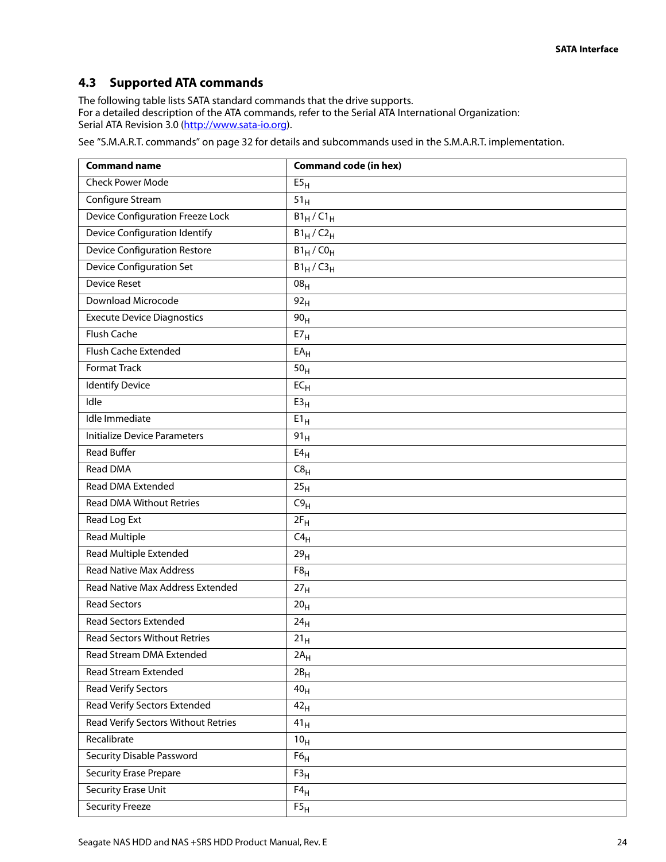## <span id="page-24-0"></span>**4.3 Supported ATA commands**

The following table lists SATA standard commands that the drive supports. [For a detailed description of the ATA commands, refer to the Serial ATA International Organization:](http://www.sata-io.org) [Serial ATA Revision 3.0 \(](http://www.sata-io.org)http://www.sata-io.org).

[See "S.M.A.R.T. commands" on page 32 f](#page-32-0)or details and subcommands used in the S.M.A.R.T. implementation.

| <b>Command name</b>                  | <b>Command code (in hex)</b> |
|--------------------------------------|------------------------------|
| <b>Check Power Mode</b>              | E5 <sub>H</sub>              |
| Configure Stream                     | 51 <sub>H</sub>              |
| Device Configuration Freeze Lock     | $B1_H/C1_H$                  |
| <b>Device Configuration Identify</b> | $B1_H/C2_H$                  |
| <b>Device Configuration Restore</b>  | $B1_H$ /CO <sub>H</sub>      |
| <b>Device Configuration Set</b>      | $B1_H / C3_H$                |
| <b>Device Reset</b>                  | 08 <sub>H</sub>              |
| Download Microcode                   | 92 <sub>H</sub>              |
| <b>Execute Device Diagnostics</b>    | 90 <sub>H</sub>              |
| <b>Flush Cache</b>                   | E7 <sub>H</sub>              |
| Flush Cache Extended                 | $EA_H$                       |
| <b>Format Track</b>                  | 50 <sub>H</sub>              |
| <b>Identify Device</b>               | $EC_{H}$                     |
| Idle                                 | E3 <sub>H</sub>              |
| Idle Immediate                       | $E1_H$                       |
| <b>Initialize Device Parameters</b>  | 91 <sub>H</sub>              |
| <b>Read Buffer</b>                   | $E4_H$                       |
| <b>Read DMA</b>                      | C8 <sub>H</sub>              |
| <b>Read DMA Extended</b>             | 25 <sub>H</sub>              |
| <b>Read DMA Without Retries</b>      | C9 <sub>H</sub>              |
| Read Log Ext                         | $2F_H$                       |
| <b>Read Multiple</b>                 | $C4_H$                       |
| <b>Read Multiple Extended</b>        | 29 <sub>H</sub>              |
| <b>Read Native Max Address</b>       | F8 <sub>H</sub>              |
| Read Native Max Address Extended     | 27 <sub>H</sub>              |
| <b>Read Sectors</b>                  | 20 <sub>H</sub>              |
| <b>Read Sectors Extended</b>         | 24 <sub>H</sub>              |
| <b>Read Sectors Without Retries</b>  | 21 <sub>H</sub>              |
| <b>Read Stream DMA Extended</b>      | $2A_H$                       |
| <b>Read Stream Extended</b>          | $2B_H$                       |
| <b>Read Verify Sectors</b>           | 40 <sub>H</sub>              |
| Read Verify Sectors Extended         | 42 <sub>H</sub>              |
| Read Verify Sectors Without Retries  | 41 <sub>H</sub>              |
| Recalibrate                          | 10 <sub>H</sub>              |
| Security Disable Password            | $F6_H$                       |
| <b>Security Erase Prepare</b>        | F3 <sub>H</sub>              |
| Security Erase Unit                  | $F4_H$                       |
| <b>Security Freeze</b>               | F5 <sub>H</sub>              |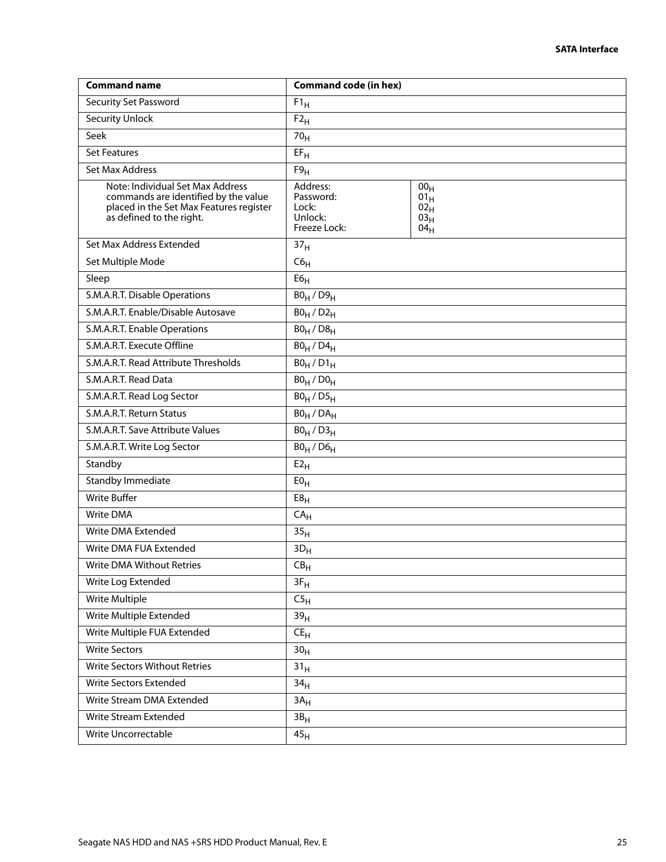| <b>Command name</b>                                                                                                                             | <b>Command code (in hex)</b>                              |                                                                                    |
|-------------------------------------------------------------------------------------------------------------------------------------------------|-----------------------------------------------------------|------------------------------------------------------------------------------------|
| <b>Security Set Password</b>                                                                                                                    | $F1_H$                                                    |                                                                                    |
| Security Unlock                                                                                                                                 | $F2_H$                                                    |                                                                                    |
| Seek                                                                                                                                            | 70 <sub>H</sub>                                           |                                                                                    |
| <b>Set Features</b>                                                                                                                             | $EF_{H}$                                                  |                                                                                    |
| Set Max Address                                                                                                                                 | F9 <sub>H</sub>                                           |                                                                                    |
| Note: Individual Set Max Address<br>commands are identified by the value<br>placed in the Set Max Features register<br>as defined to the right. | Address:<br>Password:<br>Lock:<br>Unlock:<br>Freeze Lock: | 00 <sub>H</sub><br>$01_H$<br>02 <sub>H</sub><br>03 <sub>H</sub><br>04 <sub>H</sub> |
| Set Max Address Extended                                                                                                                        | 37 <sub>H</sub>                                           |                                                                                    |
| Set Multiple Mode                                                                                                                               | $C6_H$                                                    |                                                                                    |
| Sleep                                                                                                                                           | E6 <sub>H</sub>                                           |                                                                                    |
| S.M.A.R.T. Disable Operations                                                                                                                   | $B0_H / D9_H$                                             |                                                                                    |
| S.M.A.R.T. Enable/Disable Autosave                                                                                                              | $B0_H / D2_H$                                             |                                                                                    |
| S.M.A.R.T. Enable Operations                                                                                                                    | $B0_H / D8_H$                                             |                                                                                    |
| S.M.A.R.T. Execute Offline                                                                                                                      | $B0_H$ / $D4_H$                                           |                                                                                    |
| S.M.A.R.T. Read Attribute Thresholds                                                                                                            | $B0_H/D1_H$                                               |                                                                                    |
| S.M.A.R.T. Read Data                                                                                                                            | $B0_H / D0_H$                                             |                                                                                    |
| S.M.A.R.T. Read Log Sector                                                                                                                      | $B0_H / D5_H$                                             |                                                                                    |
| S.M.A.R.T. Return Status                                                                                                                        | $BO_H / DA_H$                                             |                                                                                    |
| S.M.A.R.T. Save Attribute Values                                                                                                                | $B0_H / D3_H$                                             |                                                                                    |
| S.M.A.R.T. Write Log Sector                                                                                                                     | $B0_H$ / $D6_H$                                           |                                                                                    |
| Standby                                                                                                                                         | $E2_H$                                                    |                                                                                    |
| <b>Standby Immediate</b>                                                                                                                        | E0 <sub>H</sub>                                           |                                                                                    |
| <b>Write Buffer</b>                                                                                                                             | E8 <sub>H</sub>                                           |                                                                                    |
| Write DMA                                                                                                                                       | $CA_{H}$                                                  |                                                                                    |
| Write DMA Extended                                                                                                                              | 35 <sub>H</sub>                                           |                                                                                    |
| Write DMA FUA Extended                                                                                                                          | $3D_H$                                                    |                                                                                    |
| Write DMA Without Retries                                                                                                                       | $CB_{H}$                                                  |                                                                                    |
| Write Log Extended                                                                                                                              | $3F_H$                                                    |                                                                                    |
| Write Multiple                                                                                                                                  | C5 <sub>H</sub>                                           |                                                                                    |
| Write Multiple Extended                                                                                                                         | 39 <sub>H</sub>                                           |                                                                                    |
| Write Multiple FUA Extended                                                                                                                     | $CE_{H}$                                                  |                                                                                    |
| <b>Write Sectors</b>                                                                                                                            | 30 <sub>H</sub>                                           |                                                                                    |
| <b>Write Sectors Without Retries</b>                                                                                                            | 31 <sub>H</sub>                                           |                                                                                    |
| <b>Write Sectors Extended</b>                                                                                                                   | 34 <sub>H</sub>                                           |                                                                                    |
| Write Stream DMA Extended                                                                                                                       | 3A <sub>H</sub>                                           |                                                                                    |
| Write Stream Extended                                                                                                                           | 3B <sub>H</sub>                                           |                                                                                    |
| Write Uncorrectable                                                                                                                             | 45 <sub>H</sub>                                           |                                                                                    |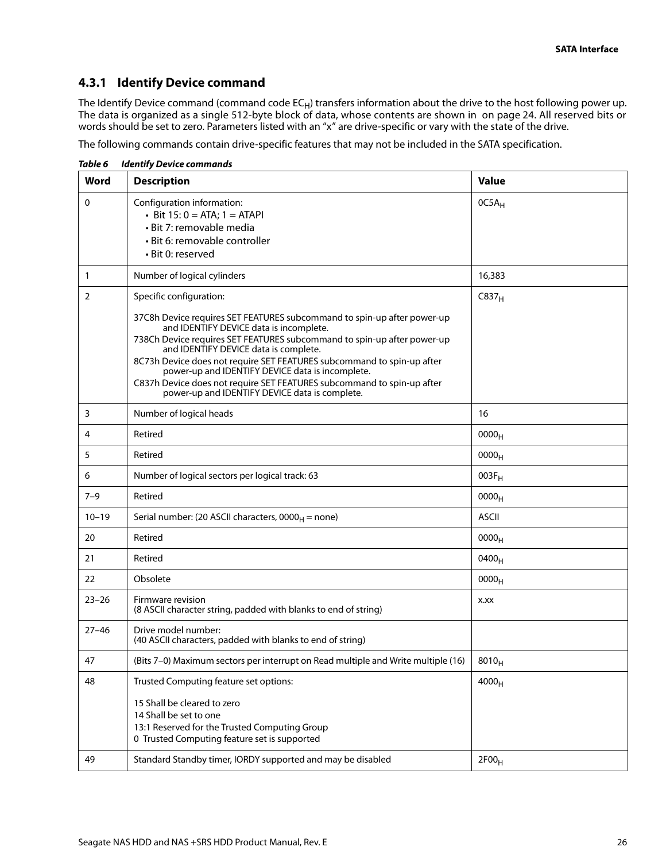## <span id="page-26-0"></span>**4.3.1 Identify Device command**

The Identify Device command (command code EC<sub>H</sub>) transfers information about the drive to the host following power up. The data is organized as a single 512-byte block of data, whose contents are shown in on page 24. All reserved bits or words should be set to zero. Parameters listed with an "x" are drive-specific or vary with the state of the drive.

The following commands contain drive-specific features that may not be included in the SATA specification.

| <b>Word</b>    | <b>Description</b>                                                                                                                                                                                                                                                                                                                                                                                                                                                                               | <b>Value</b>      |
|----------------|--------------------------------------------------------------------------------------------------------------------------------------------------------------------------------------------------------------------------------------------------------------------------------------------------------------------------------------------------------------------------------------------------------------------------------------------------------------------------------------------------|-------------------|
| 0              | Configuration information:<br>• Bit $15:0 = ATA$ ; $1 = ATAPI$<br>· Bit 7: removable media<br>· Bit 6: removable controller<br>• Bit 0: reserved                                                                                                                                                                                                                                                                                                                                                 | 0C5A <sub>H</sub> |
| $\mathbf{1}$   | Number of logical cylinders                                                                                                                                                                                                                                                                                                                                                                                                                                                                      | 16,383            |
| $\overline{2}$ | Specific configuration:                                                                                                                                                                                                                                                                                                                                                                                                                                                                          | C837 <sub>H</sub> |
|                | 37C8h Device requires SET FEATURES subcommand to spin-up after power-up<br>and IDENTIFY DEVICE data is incomplete.<br>738Ch Device requires SET FEATURES subcommand to spin-up after power-up<br>and IDENTIFY DEVICE data is complete.<br>8C73h Device does not require SET FEATURES subcommand to spin-up after<br>power-up and IDENTIFY DEVICE data is incomplete.<br>C837h Device does not require SET FEATURES subcommand to spin-up after<br>power-up and IDENTIFY DEVICE data is complete. |                   |
| 3              | Number of logical heads                                                                                                                                                                                                                                                                                                                                                                                                                                                                          | 16                |
| 4              | Retired                                                                                                                                                                                                                                                                                                                                                                                                                                                                                          | 0000 <sub>H</sub> |
| 5              | Retired                                                                                                                                                                                                                                                                                                                                                                                                                                                                                          | 0000 <sub>H</sub> |
| 6              | Number of logical sectors per logical track: 63                                                                                                                                                                                                                                                                                                                                                                                                                                                  | $003F_H$          |
| $7 - 9$        | Retired                                                                                                                                                                                                                                                                                                                                                                                                                                                                                          | 0000 <sub>H</sub> |
| $10 - 19$      | Serial number: (20 ASCII characters, $0000_H$ = none)                                                                                                                                                                                                                                                                                                                                                                                                                                            | <b>ASCII</b>      |
| 20             | Retired                                                                                                                                                                                                                                                                                                                                                                                                                                                                                          | 0000 <sub>H</sub> |
| 21             | Retired                                                                                                                                                                                                                                                                                                                                                                                                                                                                                          | 0400 <sub>H</sub> |
| 22             | Obsolete                                                                                                                                                                                                                                                                                                                                                                                                                                                                                         | 0000 <sub>H</sub> |
| $23 - 26$      | Firmware revision<br>(8 ASCII character string, padded with blanks to end of string)                                                                                                                                                                                                                                                                                                                                                                                                             | X.XX              |
| $27 - 46$      | Drive model number:<br>(40 ASCII characters, padded with blanks to end of string)                                                                                                                                                                                                                                                                                                                                                                                                                |                   |
| 47             | (Bits 7-0) Maximum sectors per interrupt on Read multiple and Write multiple (16)                                                                                                                                                                                                                                                                                                                                                                                                                | $8010_H$          |
| 48             | Trusted Computing feature set options:<br>15 Shall be cleared to zero<br>14 Shall be set to one<br>13:1 Reserved for the Trusted Computing Group<br>0 Trusted Computing feature set is supported                                                                                                                                                                                                                                                                                                 | $4000_H$          |
| 49             | Standard Standby timer, IORDY supported and may be disabled                                                                                                                                                                                                                                                                                                                                                                                                                                      | 2F00 <sub>H</sub> |

*Table 6 Identify Device commands*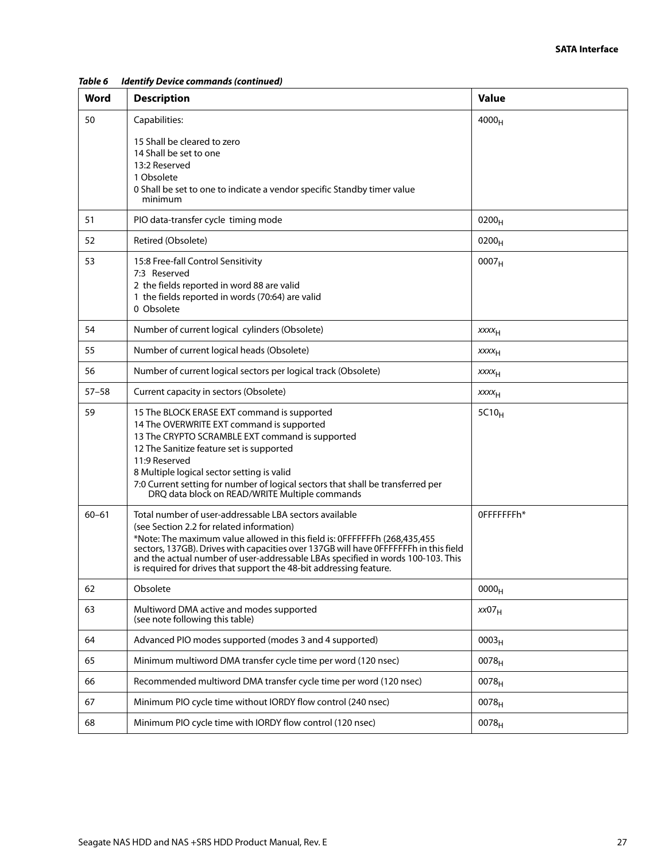| Word      | <b>Description</b>                                                                                                                                                                                                                                                                                                                                                                                                                 | Value                   |
|-----------|------------------------------------------------------------------------------------------------------------------------------------------------------------------------------------------------------------------------------------------------------------------------------------------------------------------------------------------------------------------------------------------------------------------------------------|-------------------------|
| 50        | Capabilities:                                                                                                                                                                                                                                                                                                                                                                                                                      | 4000 <sub>H</sub>       |
|           | 15 Shall be cleared to zero<br>14 Shall be set to one<br>13:2 Reserved<br>1 Obsolete<br>0 Shall be set to one to indicate a vendor specific Standby timer value<br>minimum                                                                                                                                                                                                                                                         |                         |
| 51        | PIO data-transfer cycle timing mode                                                                                                                                                                                                                                                                                                                                                                                                | $0200_H$                |
| 52        | Retired (Obsolete)                                                                                                                                                                                                                                                                                                                                                                                                                 | $0200_H$                |
| 53        | 15:8 Free-fall Control Sensitivity<br>7:3 Reserved<br>2 the fields reported in word 88 are valid<br>1 the fields reported in words (70:64) are valid<br>0 Obsolete                                                                                                                                                                                                                                                                 | 0007 <sub>H</sub>       |
| 54        | Number of current logical cylinders (Obsolete)                                                                                                                                                                                                                                                                                                                                                                                     | $xxxx_{H}$              |
| 55        | Number of current logical heads (Obsolete)                                                                                                                                                                                                                                                                                                                                                                                         | XXXH                    |
| 56        | Number of current logical sectors per logical track (Obsolete)                                                                                                                                                                                                                                                                                                                                                                     | <b>XXXX<sub>H</sub></b> |
| $57 - 58$ | Current capacity in sectors (Obsolete)                                                                                                                                                                                                                                                                                                                                                                                             | <b>XXXX<sub>H</sub></b> |
| 59        | 15 The BLOCK ERASE EXT command is supported<br>14 The OVERWRITE EXT command is supported<br>13 The CRYPTO SCRAMBLE EXT command is supported<br>12 The Sanitize feature set is supported<br>11:9 Reserved<br>8 Multiple logical sector setting is valid<br>7:0 Current setting for number of logical sectors that shall be transferred per<br>DRQ data block on READ/WRITE Multiple commands                                        | $5C10_H$                |
| $60 - 61$ | Total number of user-addressable LBA sectors available<br>(see Section 2.2 for related information)<br>*Note: The maximum value allowed in this field is: 0FFFFFFFh (268,435,455)<br>sectors, 137GB). Drives with capacities over 137GB will have 0FFFFFFFh in this field<br>and the actual number of user-addressable LBAs specified in words 100-103. This<br>is required for drives that support the 48-bit addressing feature. | OFFFFFFFh*              |
| 62        | Obsolete                                                                                                                                                                                                                                                                                                                                                                                                                           | 0000 <sub>H</sub>       |
| 63        | Multiword DMA active and modes supported<br>(see note following this table)                                                                                                                                                                                                                                                                                                                                                        | xx07 <sub>H</sub>       |
| 64        | Advanced PIO modes supported (modes 3 and 4 supported)                                                                                                                                                                                                                                                                                                                                                                             | 0003 <sub>H</sub>       |
| 65        | Minimum multiword DMA transfer cycle time per word (120 nsec)                                                                                                                                                                                                                                                                                                                                                                      | $0078_H$                |
| 66        | Recommended multiword DMA transfer cycle time per word (120 nsec)                                                                                                                                                                                                                                                                                                                                                                  | $0078_H$                |
| 67        | Minimum PIO cycle time without IORDY flow control (240 nsec)                                                                                                                                                                                                                                                                                                                                                                       | 0078 <sub>H</sub>       |
| 68        | Minimum PIO cycle time with IORDY flow control (120 nsec)                                                                                                                                                                                                                                                                                                                                                                          | $0078_H$                |

*Table 6 Identify Device commands (continued)*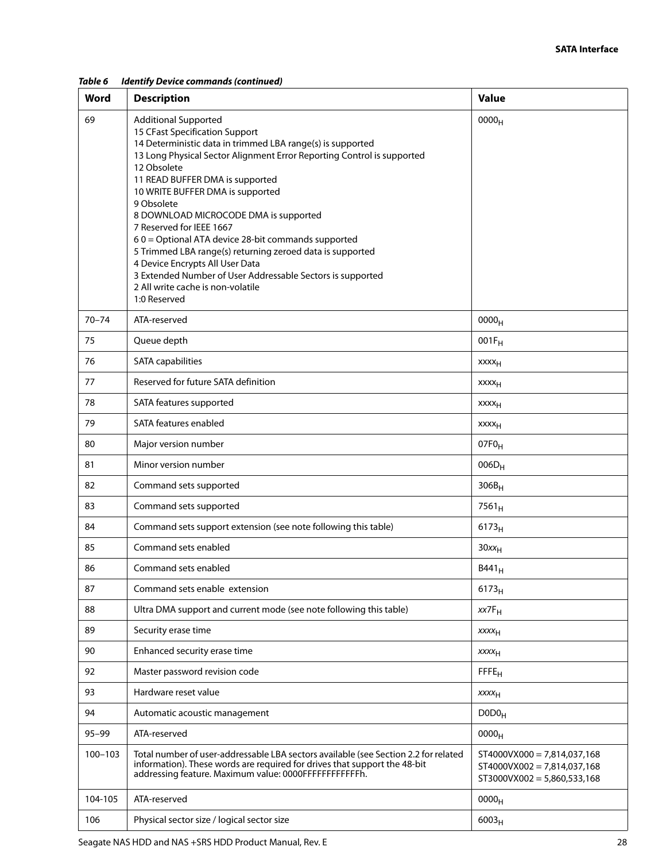*Table 6 Identify Device commands (continued)*

| Word        | <b>Description</b>                                                                                                                                                                                                                                                                                                                                                                                                                                                                                                                                                                                                                                      | <b>Value</b>                                                                                    |
|-------------|---------------------------------------------------------------------------------------------------------------------------------------------------------------------------------------------------------------------------------------------------------------------------------------------------------------------------------------------------------------------------------------------------------------------------------------------------------------------------------------------------------------------------------------------------------------------------------------------------------------------------------------------------------|-------------------------------------------------------------------------------------------------|
| 69          | <b>Additional Supported</b><br>15 CFast Specification Support<br>14 Deterministic data in trimmed LBA range(s) is supported<br>13 Long Physical Sector Alignment Error Reporting Control is supported<br>12 Obsolete<br>11 READ BUFFER DMA is supported<br>10 WRITE BUFFER DMA is supported<br>9 Obsolete<br>8 DOWNLOAD MICROCODE DMA is supported<br>7 Reserved for IEEE 1667<br>60 = Optional ATA device 28-bit commands supported<br>5 Trimmed LBA range(s) returning zeroed data is supported<br>4 Device Encrypts All User Data<br>3 Extended Number of User Addressable Sectors is supported<br>2 All write cache is non-volatile<br>1:0 Reserved | 0000 <sub>H</sub>                                                                               |
| $70 - 74$   | ATA-reserved                                                                                                                                                                                                                                                                                                                                                                                                                                                                                                                                                                                                                                            | 0000 <sub>H</sub>                                                                               |
| 75          | Queue depth                                                                                                                                                                                                                                                                                                                                                                                                                                                                                                                                                                                                                                             | $001F_H$                                                                                        |
| 76          | <b>SATA capabilities</b>                                                                                                                                                                                                                                                                                                                                                                                                                                                                                                                                                                                                                                | $xxxx_H$                                                                                        |
| 77          | Reserved for future SATA definition                                                                                                                                                                                                                                                                                                                                                                                                                                                                                                                                                                                                                     | xxxx <sub>H</sub>                                                                               |
| 78          | SATA features supported                                                                                                                                                                                                                                                                                                                                                                                                                                                                                                                                                                                                                                 | <b>XXXX<sub>H</sub></b>                                                                         |
| 79          | SATA features enabled                                                                                                                                                                                                                                                                                                                                                                                                                                                                                                                                                                                                                                   | <b>XXXX<sub>H</sub></b>                                                                         |
| 80          | Major version number                                                                                                                                                                                                                                                                                                                                                                                                                                                                                                                                                                                                                                    | 07F <sub>0H</sub>                                                                               |
| 81          | Minor version number                                                                                                                                                                                                                                                                                                                                                                                                                                                                                                                                                                                                                                    | $006D_H$                                                                                        |
| 82          | Command sets supported                                                                                                                                                                                                                                                                                                                                                                                                                                                                                                                                                                                                                                  | $306B_H$                                                                                        |
| 83          | Command sets supported                                                                                                                                                                                                                                                                                                                                                                                                                                                                                                                                                                                                                                  | $7561_H$                                                                                        |
| 84          | Command sets support extension (see note following this table)                                                                                                                                                                                                                                                                                                                                                                                                                                                                                                                                                                                          | 6173 <sub>H</sub>                                                                               |
| 85          | Command sets enabled                                                                                                                                                                                                                                                                                                                                                                                                                                                                                                                                                                                                                                    | $30xx_H$                                                                                        |
| 86          | Command sets enabled                                                                                                                                                                                                                                                                                                                                                                                                                                                                                                                                                                                                                                    | B441 <sub>H</sub>                                                                               |
| 87          | Command sets enable extension                                                                                                                                                                                                                                                                                                                                                                                                                                                                                                                                                                                                                           | $6173_H$                                                                                        |
| 88          | Ultra DMA support and current mode (see note following this table)                                                                                                                                                                                                                                                                                                                                                                                                                                                                                                                                                                                      | $xx7F_H$                                                                                        |
| 89          | Security erase time                                                                                                                                                                                                                                                                                                                                                                                                                                                                                                                                                                                                                                     | $xxxx_{H}$                                                                                      |
| 90          | Enhanced security erase time                                                                                                                                                                                                                                                                                                                                                                                                                                                                                                                                                                                                                            | $xxxx_{H}$                                                                                      |
| 92          | Master password revision code                                                                                                                                                                                                                                                                                                                                                                                                                                                                                                                                                                                                                           | FFE <sub>H</sub>                                                                                |
| 93          | Hardware reset value                                                                                                                                                                                                                                                                                                                                                                                                                                                                                                                                                                                                                                    | XXXH                                                                                            |
| 94          | Automatic acoustic management                                                                                                                                                                                                                                                                                                                                                                                                                                                                                                                                                                                                                           | D0D0 <sub>H</sub>                                                                               |
| $95 - 99$   | ATA-reserved                                                                                                                                                                                                                                                                                                                                                                                                                                                                                                                                                                                                                                            | 0000 <sub>H</sub>                                                                               |
| $100 - 103$ | Total number of user-addressable LBA sectors available (see Section 2.2 for related<br>information). These words are required for drives that support the 48-bit<br>addressing feature. Maximum value: 0000FFFFFFFFFFFFh.                                                                                                                                                                                                                                                                                                                                                                                                                               | $ST4000VX000 = 7,814,037,168$<br>$ST4000VX002 = 7,814,037,168$<br>$ST3000VX002 = 5,860,533,168$ |
| 104-105     | ATA-reserved                                                                                                                                                                                                                                                                                                                                                                                                                                                                                                                                                                                                                                            | 0000 <sub>H</sub>                                                                               |
| 106         | Physical sector size / logical sector size                                                                                                                                                                                                                                                                                                                                                                                                                                                                                                                                                                                                              | $6003_H$                                                                                        |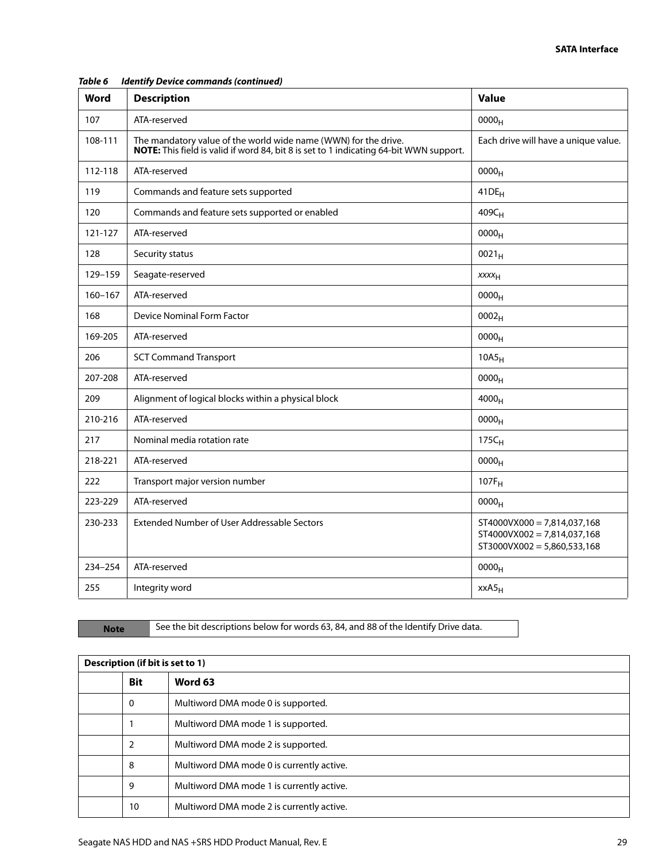| Word        | <b>Description</b>                                                                                                                                        | <b>Value</b>                                                                                    |
|-------------|-----------------------------------------------------------------------------------------------------------------------------------------------------------|-------------------------------------------------------------------------------------------------|
| 107         | ATA-reserved                                                                                                                                              | 0000 <sub>H</sub>                                                                               |
| 108-111     | The mandatory value of the world wide name (WWN) for the drive.<br>NOTE: This field is valid if word 84, bit 8 is set to 1 indicating 64-bit WWN support. | Each drive will have a unique value.                                                            |
| 112-118     | ATA-reserved                                                                                                                                              | 0000 <sub>H</sub>                                                                               |
| 119         | Commands and feature sets supported                                                                                                                       | $41DE_H$                                                                                        |
| 120         | Commands and feature sets supported or enabled                                                                                                            | 409C <sub>H</sub>                                                                               |
| 121-127     | ATA-reserved                                                                                                                                              | 0000 <sub>H</sub>                                                                               |
| 128         | Security status                                                                                                                                           | $0021_H$                                                                                        |
| 129-159     | Seagate-reserved                                                                                                                                          | XXXH                                                                                            |
| $160 - 167$ | ATA-reserved                                                                                                                                              | $0000_{H}$                                                                                      |
| 168         | Device Nominal Form Factor                                                                                                                                | 0002 <sub>H</sub>                                                                               |
| 169-205     | ATA-reserved                                                                                                                                              | 0000 <sub>H</sub>                                                                               |
| 206         | <b>SCT Command Transport</b>                                                                                                                              | 10A5 <sub>H</sub>                                                                               |
| 207-208     | ATA-reserved                                                                                                                                              | 0000 <sub>H</sub>                                                                               |
| 209         | Alignment of logical blocks within a physical block                                                                                                       | $4000_H$                                                                                        |
| 210-216     | ATA-reserved                                                                                                                                              | 0000 <sub>H</sub>                                                                               |
| 217         | Nominal media rotation rate                                                                                                                               | $175C_H$                                                                                        |
| 218-221     | ATA-reserved                                                                                                                                              | 0000 <sub>H</sub>                                                                               |
| 222         | Transport major version number                                                                                                                            | $107F_H$                                                                                        |
| 223-229     | ATA-reserved                                                                                                                                              | 0000 <sub>H</sub>                                                                               |
| 230-233     | Extended Number of User Addressable Sectors                                                                                                               | $ST4000VX000 = 7,814,037,168$<br>$ST4000VX002 = 7,814,037,168$<br>$ST3000VX002 = 5,860,533,168$ |
| 234-254     | ATA-reserved                                                                                                                                              | 0000 <sub>H</sub>                                                                               |
| 255         | Integrity word                                                                                                                                            | xxA5 <sub>H</sub>                                                                               |

#### *Table 6 Identify Device commands (continued)*

Note See the bit descriptions below for words 63, 84, and 88 of the Identify Drive data.

| Description (if bit is set to 1) |            |                                           |
|----------------------------------|------------|-------------------------------------------|
|                                  | <b>Bit</b> | Word 63                                   |
|                                  | 0          | Multiword DMA mode 0 is supported.        |
|                                  |            | Multiword DMA mode 1 is supported.        |
|                                  | 2          | Multiword DMA mode 2 is supported.        |
|                                  | 8          | Multiword DMA mode 0 is currently active. |
|                                  | 9          | Multiword DMA mode 1 is currently active. |
|                                  | 10         | Multiword DMA mode 2 is currently active. |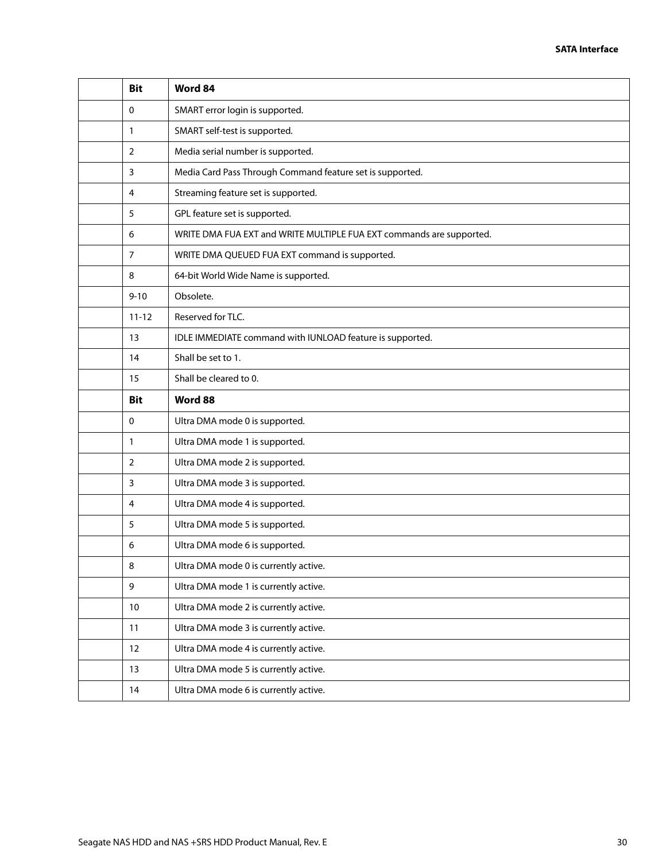| <b>Bit</b>     | Word 84                                                              |
|----------------|----------------------------------------------------------------------|
| 0              | SMART error login is supported.                                      |
| 1              | SMART self-test is supported.                                        |
| $\overline{2}$ | Media serial number is supported.                                    |
| 3              | Media Card Pass Through Command feature set is supported.            |
| 4              | Streaming feature set is supported.                                  |
| 5              | GPL feature set is supported.                                        |
| 6              | WRITE DMA FUA EXT and WRITE MULTIPLE FUA EXT commands are supported. |
| 7              | WRITE DMA QUEUED FUA EXT command is supported.                       |
| 8              | 64-bit World Wide Name is supported.                                 |
| $9 - 10$       | Obsolete.                                                            |
| $11 - 12$      | Reserved for TLC.                                                    |
| 13             | IDLE IMMEDIATE command with IUNLOAD feature is supported.            |
| 14             | Shall be set to 1.                                                   |
| 15             | Shall be cleared to 0.                                               |
| <b>Bit</b>     | Word 88                                                              |
| 0              | Ultra DMA mode 0 is supported.                                       |
| 1              | Ultra DMA mode 1 is supported.                                       |
| 2              | Ultra DMA mode 2 is supported.                                       |
| 3              | Ultra DMA mode 3 is supported.                                       |
| 4              | Ultra DMA mode 4 is supported.                                       |
| 5              | Ultra DMA mode 5 is supported.                                       |
| 6              | Ultra DMA mode 6 is supported.                                       |
| 8              | Ultra DMA mode 0 is currently active.                                |
| 9              | Ultra DMA mode 1 is currently active.                                |
| $10\,$         | Ultra DMA mode 2 is currently active.                                |
| 11             | Ultra DMA mode 3 is currently active.                                |
| 12             | Ultra DMA mode 4 is currently active.                                |
| 13             | Ultra DMA mode 5 is currently active.                                |
| 14             | Ultra DMA mode 6 is currently active.                                |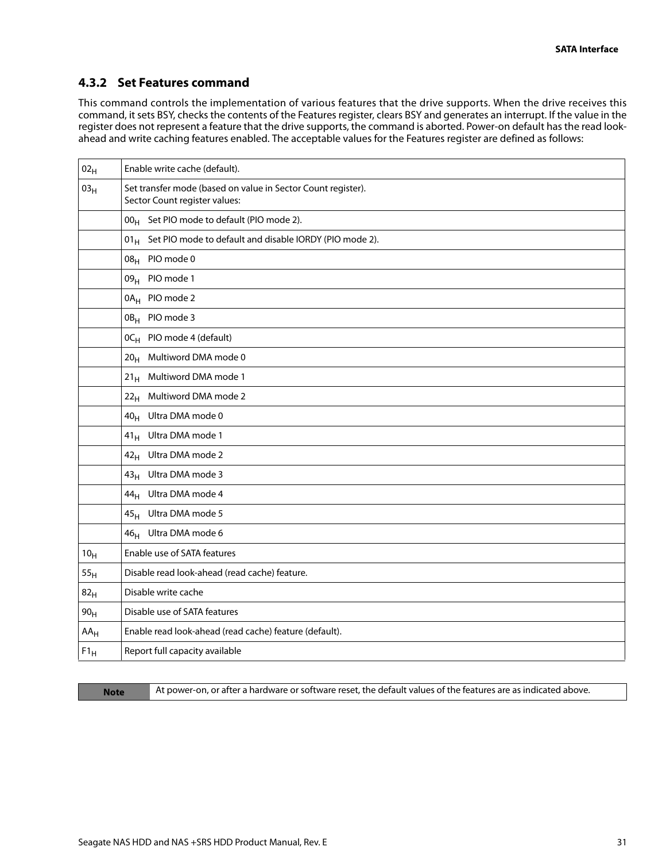## <span id="page-31-0"></span>**4.3.2 Set Features command**

This command controls the implementation of various features that the drive supports. When the drive receives this command, it sets BSY, checks the contents of the Features register, clears BSY and generates an interrupt. If the value in the register does not represent a feature that the drive supports, the command is aborted. Power-on default has the read lookahead and write caching features enabled. The acceptable values for the Features register are defined as follows:

| $02_H$          | Enable write cache (default).                                                                 |
|-----------------|-----------------------------------------------------------------------------------------------|
| 03 <sub>H</sub> | Set transfer mode (based on value in Sector Count register).<br>Sector Count register values: |
|                 | 00 <sub>H</sub> Set PIO mode to default (PIO mode 2).                                         |
|                 | $01_H$ Set PIO mode to default and disable IORDY (PIO mode 2).                                |
|                 | 08 <sub>H</sub> PIO mode 0                                                                    |
|                 | 09 <sub>H</sub> PIO mode 1                                                                    |
|                 | 0A <sub>H</sub> PIO mode 2                                                                    |
|                 | 0B <sub>H</sub> PIO mode 3                                                                    |
|                 | OC <sub>H</sub> PIO mode 4 (default)                                                          |
|                 | Multiword DMA mode 0<br>20 <sub>H</sub>                                                       |
|                 | 21 <sub>H</sub> Multiword DMA mode 1                                                          |
|                 | Multiword DMA mode 2<br>22 <sub>H</sub>                                                       |
|                 | Ultra DMA mode 0<br>40 <sub>H</sub>                                                           |
|                 | Ultra DMA mode 1<br>$41_H$                                                                    |
|                 | Ultra DMA mode 2<br>42 <sub>H</sub>                                                           |
|                 | 43 <sub>H</sub> Ultra DMA mode 3                                                              |
|                 | 44 <sub>H</sub> Ultra DMA mode 4                                                              |
|                 | 45 <sub>H</sub> Ultra DMA mode 5                                                              |
|                 | 46 <sub>H</sub> Ultra DMA mode 6                                                              |
| 10 <sub>H</sub> | Enable use of SATA features                                                                   |
| 55 <sub>H</sub> | Disable read look-ahead (read cache) feature.                                                 |
| 82 <sub>H</sub> | Disable write cache                                                                           |
| 90 <sub>H</sub> | Disable use of SATA features                                                                  |
| $AA_H$          | Enable read look-ahead (read cache) feature (default).                                        |
| $F1_H$          | Report full capacity available                                                                |

**Note** At power-on, or after a hardware or software reset, the default values of the features are as indicated above.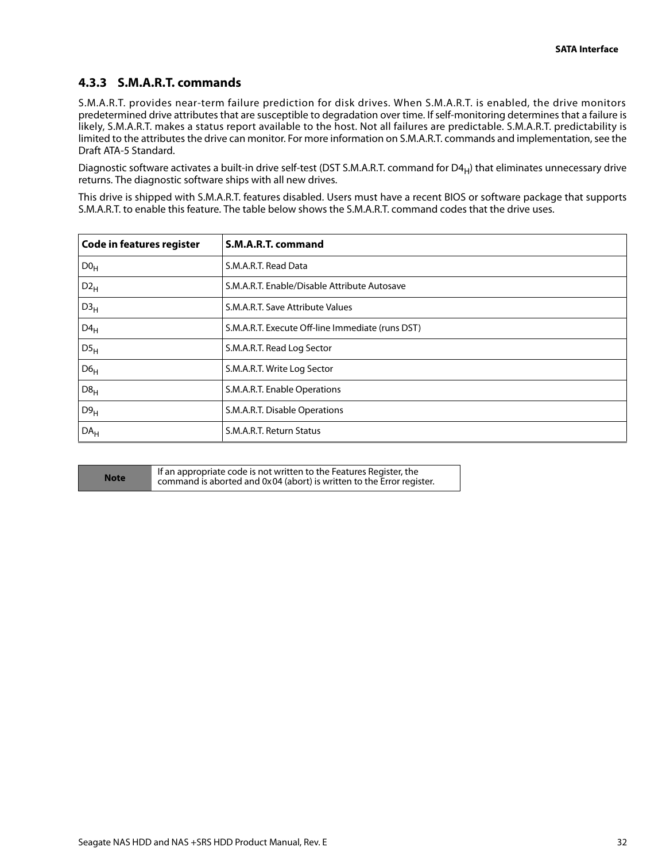## <span id="page-32-0"></span>**4.3.3 S.M.A.R.T. commands**

S.M.A.R.T. provides near-term failure prediction for disk drives. When S.M.A.R.T. is enabled, the drive monitors predetermined drive attributes that are susceptible to degradation over time. If self-monitoring determines that a failure is likely, S.M.A.R.T. makes a status report available to the host. Not all failures are predictable. S.M.A.R.T. predictability is limited to the attributes the drive can monitor. For more information on S.M.A.R.T. commands and implementation, see the Draft ATA-5 Standard.

Diagnostic software activates a built-in drive self-test (DST S.M.A.R.T. command for  $D4_H$ ) that eliminates unnecessary drive returns. The diagnostic software ships with all new drives.

This drive is shipped with S.M.A.R.T. features disabled. Users must have a recent BIOS or software package that supports S.M.A.R.T. to enable this feature. The table below shows the S.M.A.R.T. command codes that the drive uses.

| <b>Code in features register</b> | S.M.A.R.T. command                               |  |  |  |
|----------------------------------|--------------------------------------------------|--|--|--|
| D0 <sub>H</sub>                  | S.M.A.R.T. Read Data                             |  |  |  |
| $D2_H$                           | S.M.A.R.T. Enable/Disable Attribute Autosave     |  |  |  |
| D3 <sub>H</sub>                  | S.M.A.R.T. Save Attribute Values                 |  |  |  |
| $D4_H$                           | S.M.A.R.T. Execute Off-line Immediate (runs DST) |  |  |  |
| DS <sub>H</sub>                  | S.M.A.R.T. Read Log Sector                       |  |  |  |
| D6 <sub>H</sub>                  | S.M.A.R.T. Write Log Sector                      |  |  |  |
| D8 <sub>H</sub>                  | S.M.A.R.T. Enable Operations                     |  |  |  |
| D9 <sub>H</sub>                  | S.M.A.R.T. Disable Operations                    |  |  |  |
| DA <sub>H</sub>                  | S.M.A.R.T. Return Status                         |  |  |  |

| and the state of the state of the state of the state of the state of the state of the state of the state of th<br><b>Contract Contract Contract Contract Contract Contract Contract Contract Contract Contract Contract Contract Co</b> |   |   |  |
|-----------------------------------------------------------------------------------------------------------------------------------------------------------------------------------------------------------------------------------------|---|---|--|
|                                                                                                                                                                                                                                         |   |   |  |
| <b>Contract Contract Contract Contract Contract Contract Contract Contract Contract Contract Contract Contract Co</b><br><b>STATE</b>                                                                                                   | - | - |  |

**Note** If an appropriate code is not written to the Features Register, the command is aborted and 0x04 (abort) is written to the Error register.